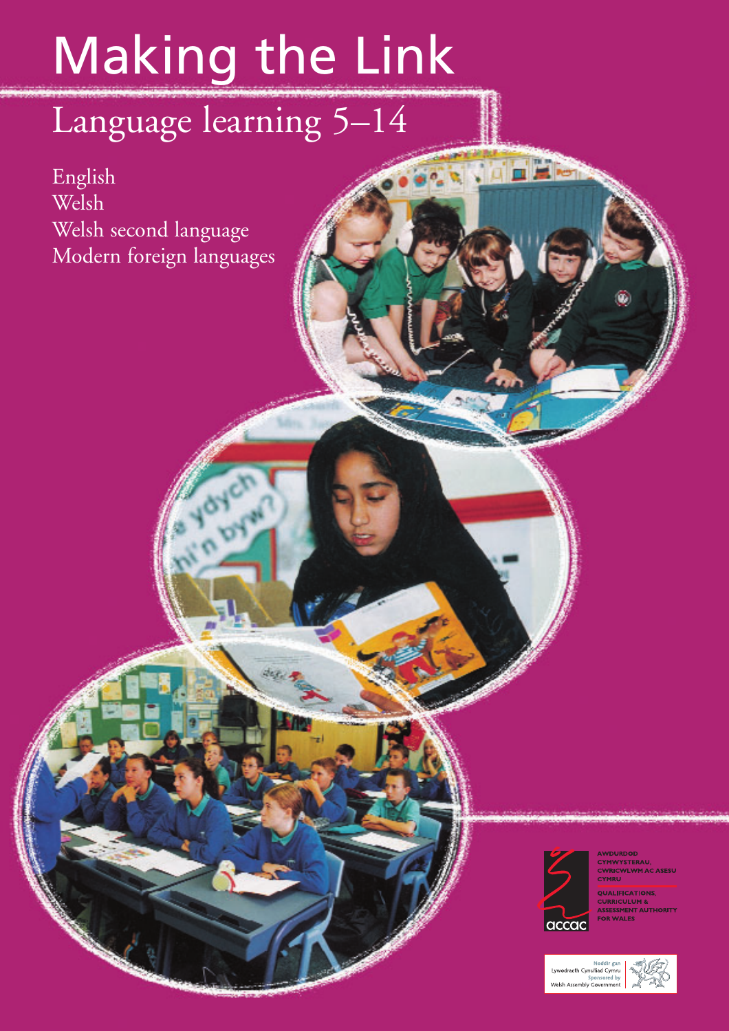# Making the Link

# Language learning 5–14

English Welsh Welsh second language Modern foreign languages



**RYONEE** 

**AWDURDOD** CYMWYSTERAU,<br>CWRICWLWM AC ASESU<br>CYMRU

QUALIFICATIONS, **CURRICULUM &<br>ASSESSMENT AUTHORITY<br>FOR WALES** 

Noddir gan<br>Lywodraeth Cynulliad Cymru Sponsored by<br>Welsh Assembly Government

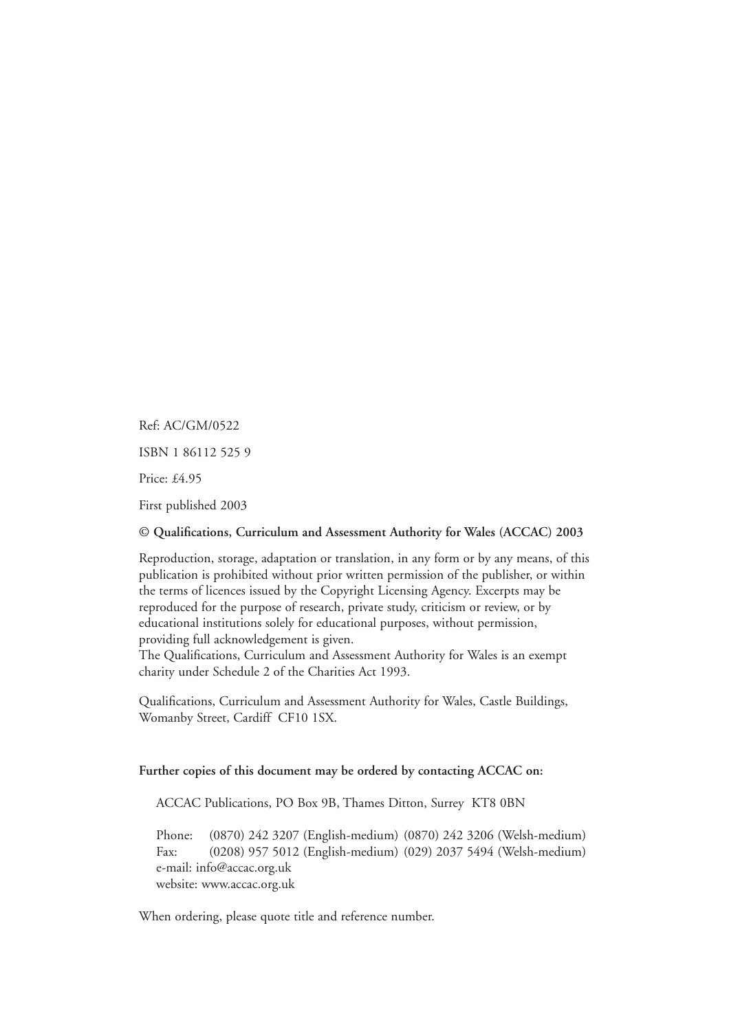Ref: AC/GM/0522 ISBN 1 86112 525 9 Price: £4.95 First published 2003

### **© Qualifications, Curriculum and Assessment Authority for Wales (ACCAC) 2003**

Reproduction, storage, adaptation or translation, in any form or by any means, of this publication is prohibited without prior written permission of the publisher, or within the terms of licences issued by the Copyright Licensing Agency. Excerpts may be reproduced for the purpose of research, private study, criticism or review, or by educational institutions solely for educational purposes, without permission, providing full acknowledgement is given.

The Qualifications, Curriculum and Assessment Authority for Wales is an exempt charity under Schedule 2 of the Charities Act 1993.

Qualifications, Curriculum and Assessment Authority for Wales, Castle Buildings, Womanby Street, Cardiff CF10 1SX.

### **Further copies of this document may be ordered by contacting ACCAC on:**

ACCAC Publications, PO Box 9B, Thames Ditton, Surrey KT8 0BN

Phone: (0870) 242 3207 (English-medium) (0870) 242 3206 (Welsh-medium) Fax: (0208) 957 5012 (English-medium) (029) 2037 5494 (Welsh-medium) e-mail: info@accac.org.uk website: www.accac.org.uk

When ordering, please quote title and reference number.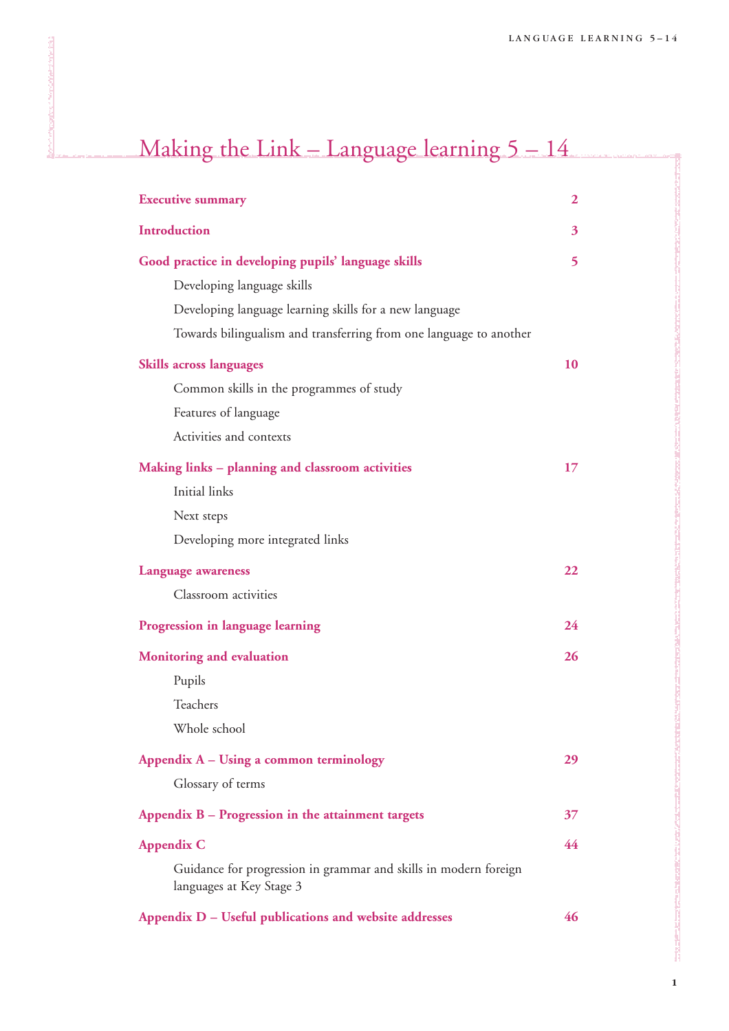**1**

Ji

| <b>Executive summary</b>                                                                     | $\boldsymbol{2}$ |
|----------------------------------------------------------------------------------------------|------------------|
| <b>Introduction</b>                                                                          | 3                |
| Good practice in developing pupils' language skills                                          | 5                |
| Developing language skills                                                                   |                  |
| Developing language learning skills for a new language                                       |                  |
| Towards bilingualism and transferring from one language to another                           |                  |
| <b>Skills across languages</b>                                                               | 10               |
| Common skills in the programmes of study                                                     |                  |
| Features of language                                                                         |                  |
| Activities and contexts                                                                      |                  |
| Making links - planning and classroom activities                                             | 17               |
| Initial links                                                                                |                  |
| Next steps                                                                                   |                  |
| Developing more integrated links                                                             |                  |
| <b>Language awareness</b>                                                                    | 22               |
| Classroom activities                                                                         |                  |
| Progression in language learning                                                             | 24               |
| <b>Monitoring and evaluation</b>                                                             | 26               |
| Pupils                                                                                       |                  |
| Teachers                                                                                     |                  |
| Whole school                                                                                 |                  |
| Appendix A – Using a common terminology                                                      | 29               |
| Glossary of terms                                                                            |                  |
| Appendix B - Progression in the attainment targets                                           | 37               |
| <b>Appendix C</b>                                                                            | 44               |
| Guidance for progression in grammar and skills in modern foreign<br>languages at Key Stage 3 |                  |
|                                                                                              |                  |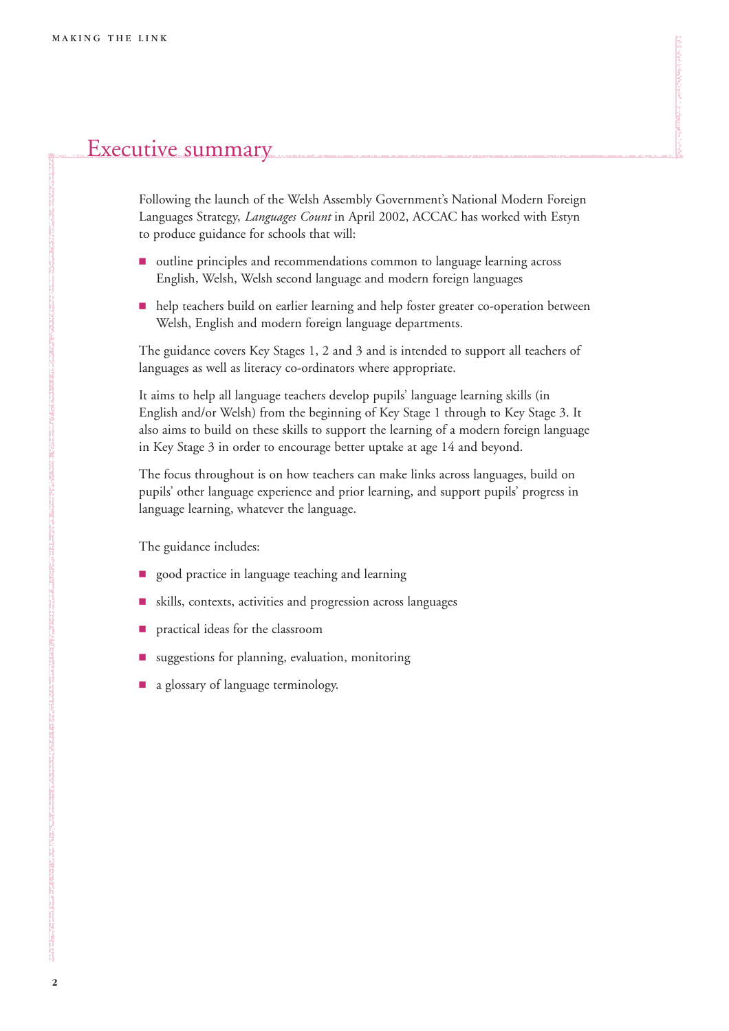# Executive summary

Following the launch of the Welsh Assembly Government's National Modern Foreign Languages Strategy, *Languages Count* in April 2002, ACCAC has worked with Estyn to produce guidance for schools that will:

- outline principles and recommendations common to language learning across English, Welsh, Welsh second language and modern foreign languages
- **help teachers build on earlier learning and help foster greater co-operation between** Welsh, English and modern foreign language departments.

The guidance covers Key Stages 1, 2 and 3 and is intended to support all teachers of languages as well as literacy co-ordinators where appropriate.

It aims to help all language teachers develop pupils' language learning skills (in English and/or Welsh) from the beginning of Key Stage 1 through to Key Stage 3. It also aims to build on these skills to support the learning of a modern foreign language in Key Stage 3 in order to encourage better uptake at age 14 and beyond.

The focus throughout is on how teachers can make links across languages, build on pupils' other language experience and prior learning, and support pupils' progress in language learning, whatever the language.

The guidance includes:

- **9** good practice in language teaching and learning
- 9 skills, contexts, activities and progression across languages
- **P** practical ideas for the classroom
- 9 suggestions for planning, evaluation, monitoring
- **1** a glossary of language terminology.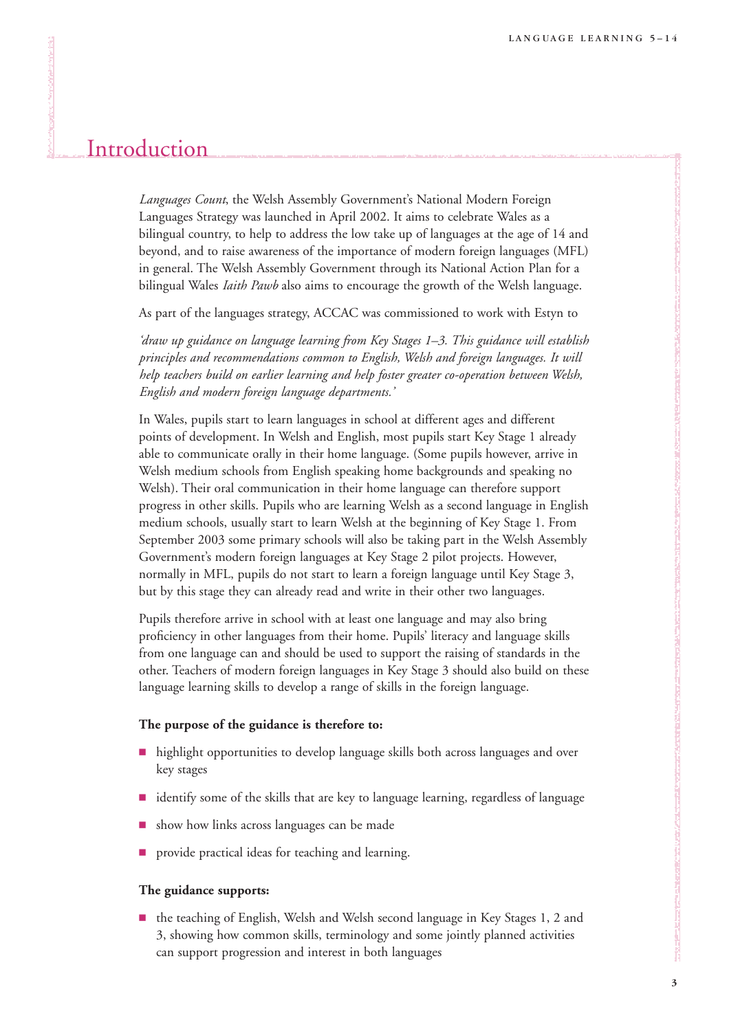# Introduction

*Languages Count*, the Welsh Assembly Government's National Modern Foreign Languages Strategy was launched in April 2002. It aims to celebrate Wales as a bilingual country, to help to address the low take up of languages at the age of 14 and beyond, and to raise awareness of the importance of modern foreign languages (MFL) in general. The Welsh Assembly Government through its National Action Plan for a bilingual Wales *Iaith Pawb* also aims to encourage the growth of the Welsh language.

As part of the languages strategy, ACCAC was commissioned to work with Estyn to

*'draw up guidance on language learning from Key Stages 1–3. This guidance will establish principles and recommendations common to English, Welsh and foreign languages. It will help teachers build on earlier learning and help foster greater co-operation between Welsh, English and modern foreign language departments.'*

In Wales, pupils start to learn languages in school at different ages and different points of development. In Welsh and English, most pupils start Key Stage 1 already able to communicate orally in their home language. (Some pupils however, arrive in Welsh medium schools from English speaking home backgrounds and speaking no Welsh). Their oral communication in their home language can therefore support progress in other skills. Pupils who are learning Welsh as a second language in English medium schools, usually start to learn Welsh at the beginning of Key Stage 1. From September 2003 some primary schools will also be taking part in the Welsh Assembly Government's modern foreign languages at Key Stage 2 pilot projects. However, normally in MFL, pupils do not start to learn a foreign language until Key Stage 3, but by this stage they can already read and write in their other two languages.

Pupils therefore arrive in school with at least one language and may also bring proficiency in other languages from their home. Pupils' literacy and language skills from one language can and should be used to support the raising of standards in the other. Teachers of modern foreign languages in Key Stage 3 should also build on these language learning skills to develop a range of skills in the foreign language.

### **The purpose of the guidance is therefore to:**

- **highlight opportunities to develop language skills both across languages and over** key stages
- dentify some of the skills that are key to language learning, regardless of language
- show how links across languages can be made
- provide practical ideas for teaching and learning.

### **The guidance supports:**

9 the teaching of English, Welsh and Welsh second language in Key Stages 1, 2 and 3, showing how common skills, terminology and some jointly planned activities can support progression and interest in both languages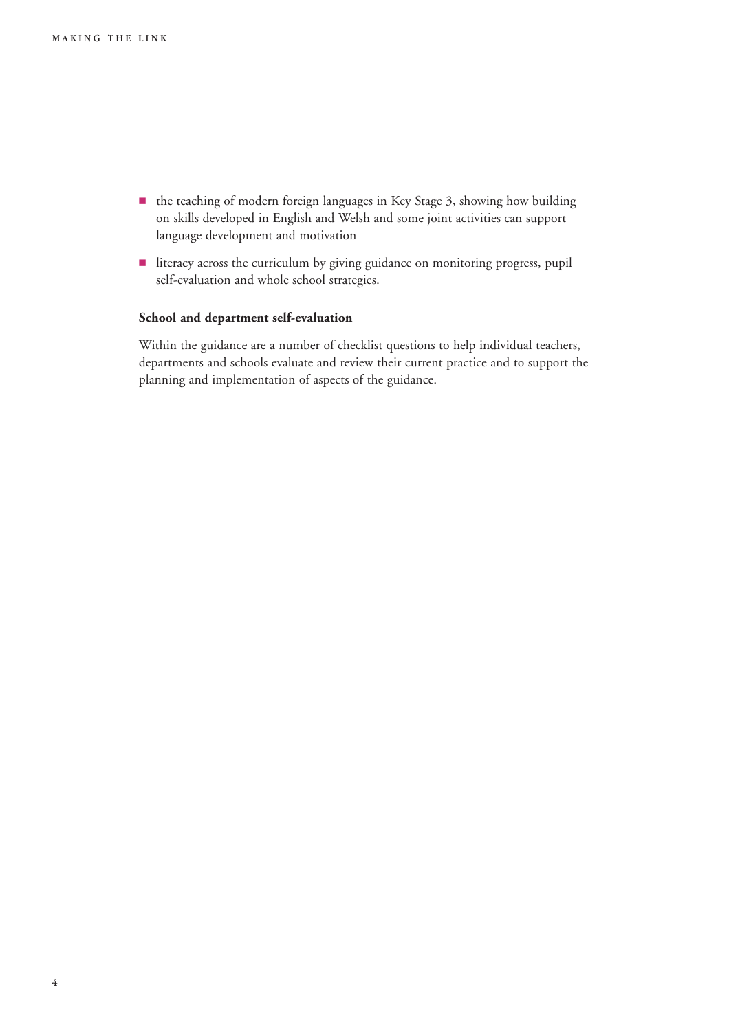- $\blacksquare$  the teaching of modern foreign languages in Key Stage 3, showing how building on skills developed in English and Welsh and some joint activities can support language development and motivation
- literacy across the curriculum by giving guidance on monitoring progress, pupil self-evaluation and whole school strategies.

### **School and department self-evaluation**

Within the guidance are a number of checklist questions to help individual teachers, departments and schools evaluate and review their current practice and to support the planning and implementation of aspects of the guidance.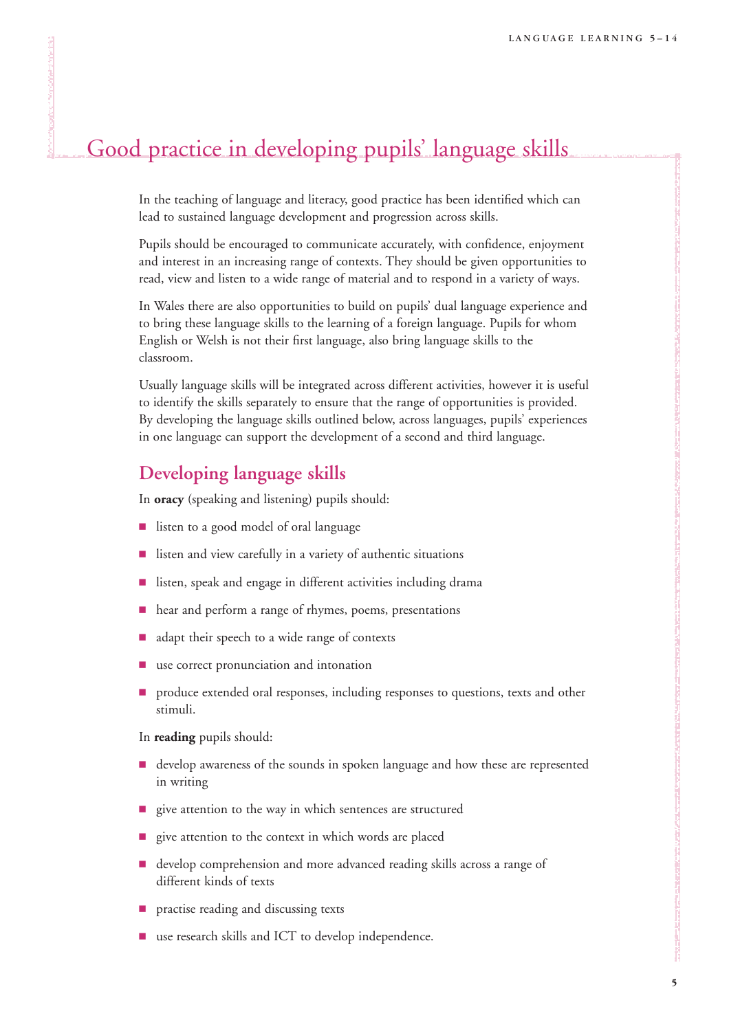# Good practice in developing pupils' language skills

In the teaching of language and literacy, good practice has been identified which can lead to sustained language development and progression across skills.

Pupils should be encouraged to communicate accurately, with confidence, enjoyment and interest in an increasing range of contexts. They should be given opportunities to read, view and listen to a wide range of material and to respond in a variety of ways.

In Wales there are also opportunities to build on pupils' dual language experience and to bring these language skills to the learning of a foreign language. Pupils for whom English or Welsh is not their first language, also bring language skills to the classroom.

Usually language skills will be integrated across different activities, however it is useful to identify the skills separately to ensure that the range of opportunities is provided. By developing the language skills outlined below, across languages, pupils' experiences in one language can support the development of a second and third language.

# **Developing language skills**

In **oracy** (speaking and listening) pupils should:

- listen to a good model of oral language
- 9 listen and view carefully in a variety of authentic situations
- listen, speak and engage in different activities including drama
- $\blacksquare$  hear and perform a range of rhymes, poems, presentations
- adapt their speech to a wide range of contexts
- use correct pronunciation and intonation
- **P** produce extended oral responses, including responses to questions, texts and other stimuli.

In **reading** pupils should:

- **develop awareness of the sounds in spoken language and how these are represented** in writing
- give attention to the way in which sentences are structured
- give attention to the context in which words are placed
- **develop comprehension and more advanced reading skills across a range of** different kinds of texts
- **P** practise reading and discussing texts
- use research skills and ICT to develop independence.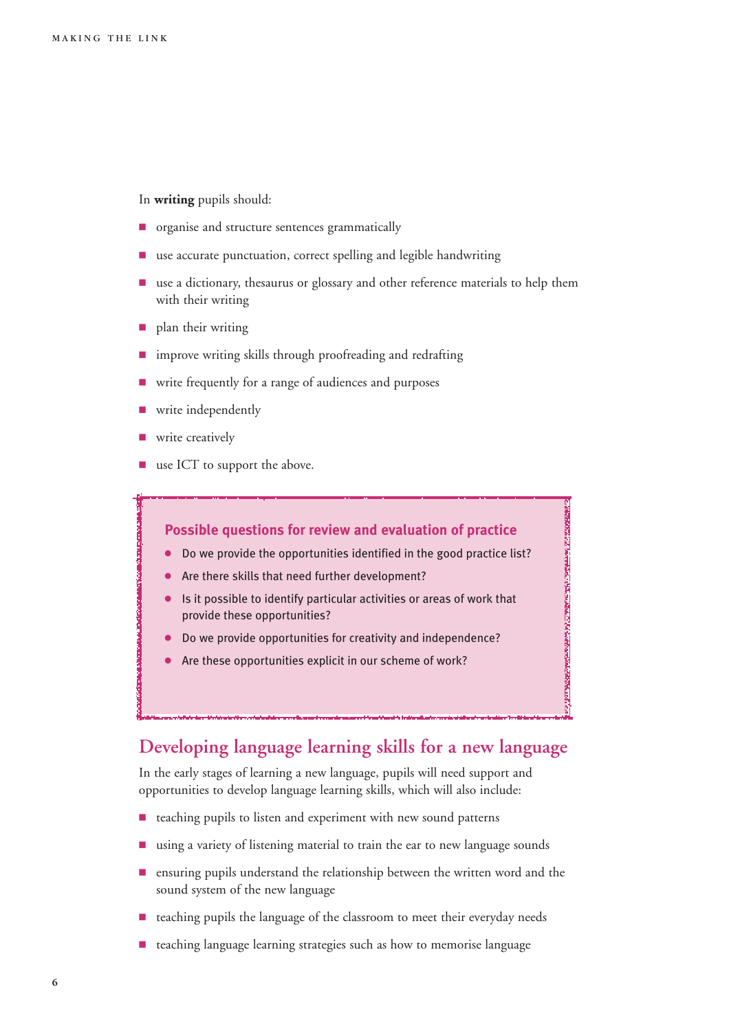### In **writing** pupils should:

- $\blacksquare$  organise and structure sentences grammatically
- use accurate punctuation, correct spelling and legible handwriting
- **1** use a dictionary, thesaurus or glossary and other reference materials to help them with their writing
- **P** plan their writing
- **I** improve writing skills through proofreading and redrafting
- write frequently for a range of audiences and purposes
- write independently
- write creatively
- use ICT to support the above.

### **Possible questions for review and evaluation of practice**

- Do we provide the opportunities identified in the good practice list?
- Are there skills that need further development?
- Is it possible to identify particular activities or areas of work that provide these opportunities?

**CONTRACTORS CONTRACTORS IN THE REAL PROPERTY AND INTERNATIONAL CONTRACTORS** 

- Do we provide opportunities for creativity and independence?
- Are these opportunities explicit in our scheme of work?

# **Developing language learning skills for a new language**

In the early stages of learning a new language, pupils will need support and opportunities to develop language learning skills, which will also include:

- teaching pupils to listen and experiment with new sound patterns
- using a variety of listening material to train the ear to new language sounds
- $\blacksquare$  ensuring pupils understand the relationship between the written word and the sound system of the new language
- teaching pupils the language of the classroom to meet their everyday needs
- teaching language learning strategies such as how to memorise language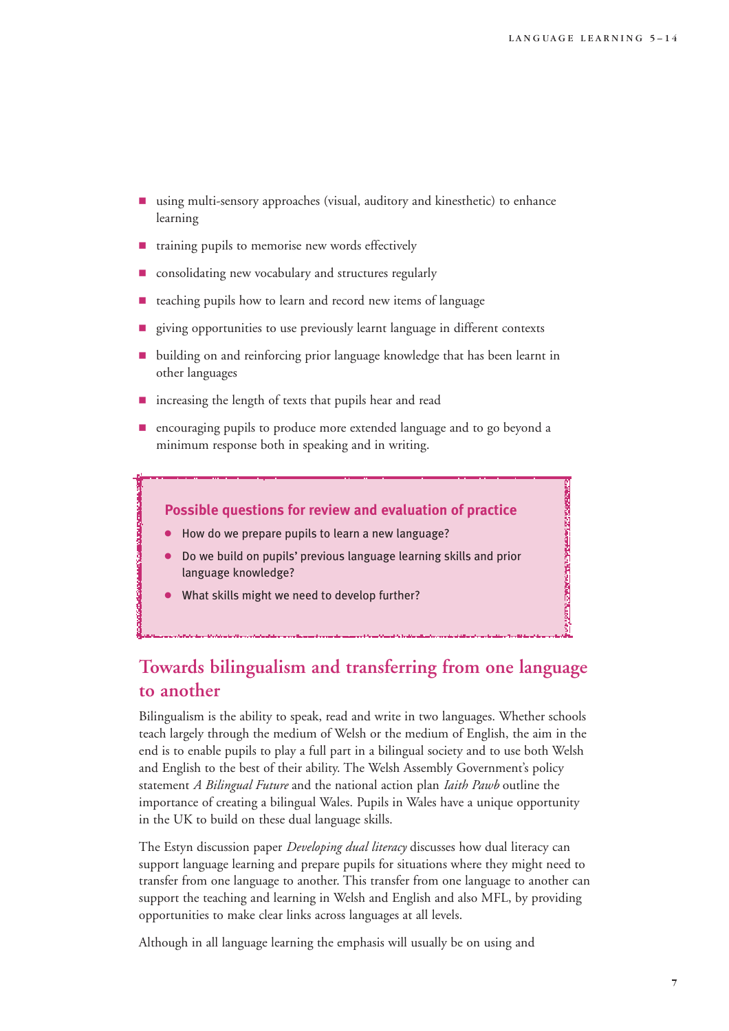**ANDROSSING THE MANAGEMEnt COMPANY OF THE COMPANY OF THE COMPANY OF THE COMPANY OF THE COMPANY OF THE COMPANY** 

- $\blacksquare$  using multi-sensory approaches (visual, auditory and kinesthetic) to enhance learning
- $\blacksquare$  training pupils to memorise new words effectively
- consolidating new vocabulary and structures regularly
- teaching pupils how to learn and record new items of language
- giving opportunities to use previously learnt language in different contexts
- 9 building on and reinforcing prior language knowledge that has been learnt in other languages
- increasing the length of texts that pupils hear and read
- 9 encouraging pupils to produce more extended language and to go beyond a minimum response both in speaking and in writing.

### **Possible questions for review and evaluation of practice**

- 4 How do we prepare pupils to learn a new language?
- 4 Do we build on pupils' previous language learning skills and prior language knowledge?
- What skills might we need to develop further?

# **Towards bilingualism and transferring from one language to another**

Bilingualism is the ability to speak, read and write in two languages. Whether schools teach largely through the medium of Welsh or the medium of English, the aim in the end is to enable pupils to play a full part in a bilingual society and to use both Welsh and English to the best of their ability. The Welsh Assembly Government's policy statement *A Bilingual Future* and the national action plan *Iaith Pawb* outline the importance of creating a bilingual Wales. Pupils in Wales have a unique opportunity in the UK to build on these dual language skills.

The Estyn discussion paper *Developing dual literacy* discusses how dual literacy can support language learning and prepare pupils for situations where they might need to transfer from one language to another. This transfer from one language to another can support the teaching and learning in Welsh and English and also MFL, by providing opportunities to make clear links across languages at all levels.

Although in all language learning the emphasis will usually be on using and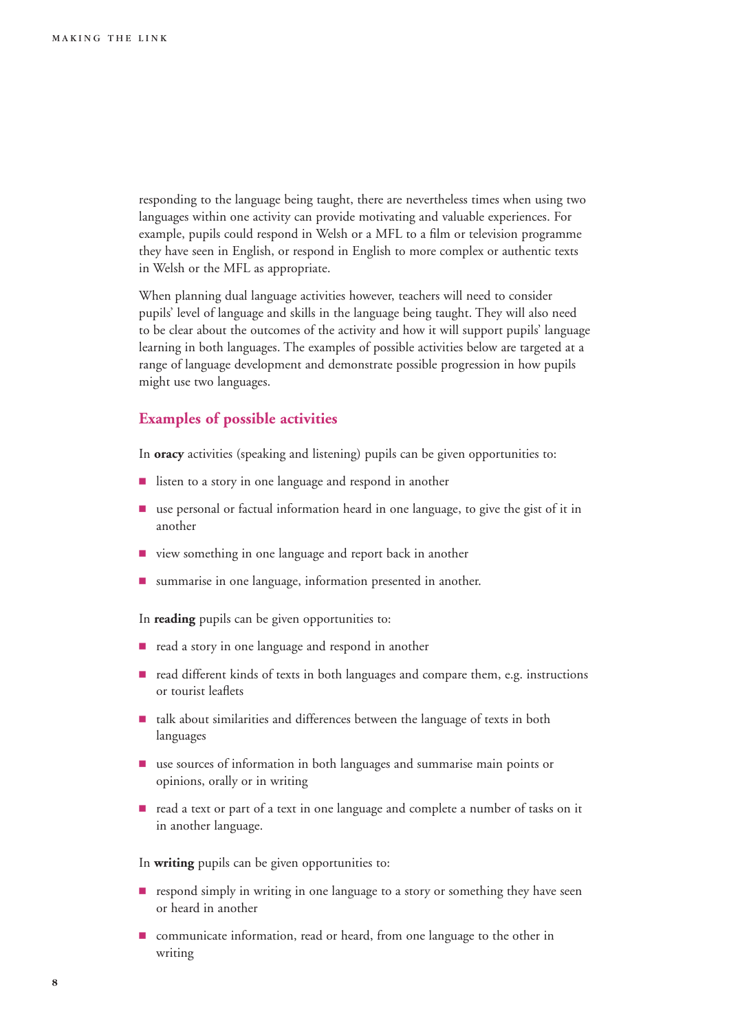responding to the language being taught, there are nevertheless times when using two languages within one activity can provide motivating and valuable experiences. For example, pupils could respond in Welsh or a MFL to a film or television programme they have seen in English, or respond in English to more complex or authentic texts in Welsh or the MFL as appropriate.

When planning dual language activities however, teachers will need to consider pupils' level of language and skills in the language being taught. They will also need to be clear about the outcomes of the activity and how it will support pupils' language learning in both languages. The examples of possible activities below are targeted at a range of language development and demonstrate possible progression in how pupils might use two languages.

### **Examples of possible activities**

In **oracy** activities (speaking and listening) pupils can be given opportunities to:

- **9** listen to a story in one language and respond in another
- 9 use personal or factual information heard in one language, to give the gist of it in another
- 9 view something in one language and report back in another
- $\blacksquare$  summarise in one language, information presented in another.

In **reading** pupils can be given opportunities to:

- read a story in one language and respond in another
- read different kinds of texts in both languages and compare them, e.g. instructions or tourist leaflets
- talk about similarities and differences between the language of texts in both languages
- 9 use sources of information in both languages and summarise main points or opinions, orally or in writing
- 9 read a text or part of a text in one language and complete a number of tasks on it in another language.

In **writing** pupils can be given opportunities to:

- **P** respond simply in writing in one language to a story or something they have seen or heard in another
- $\blacksquare$  communicate information, read or heard, from one language to the other in writing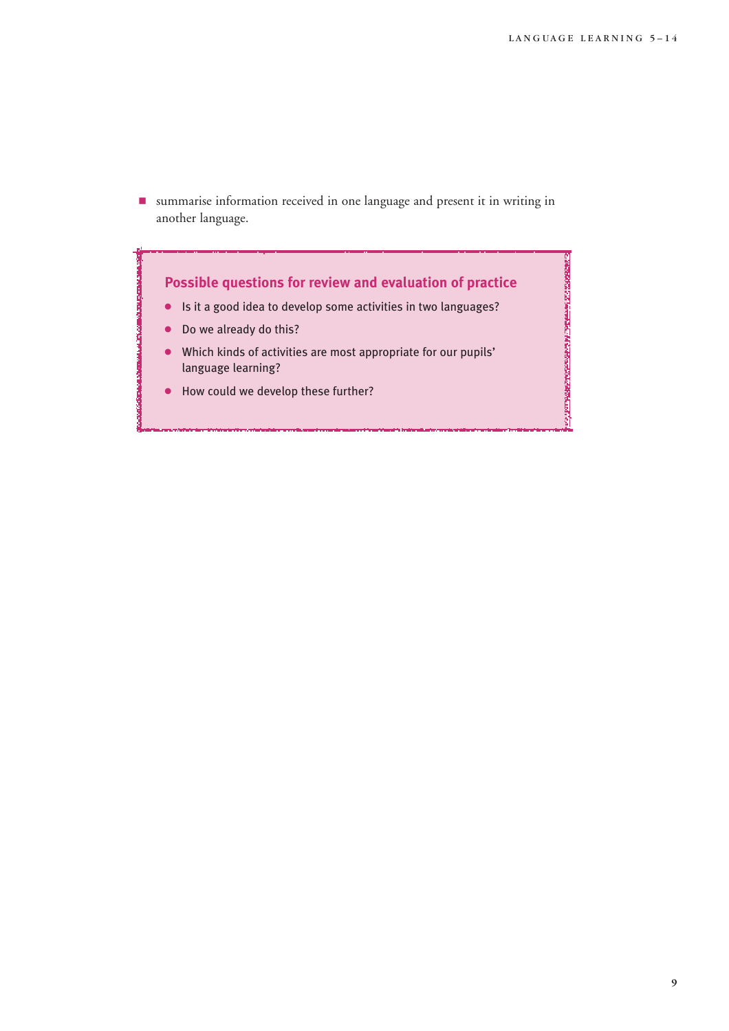CARSONER CE 14 CHARLER A SARRA CONSTANTING

9 summarise information received in one language and present it in writing in another language.



- 4 Is it a good idea to develop some activities in two languages?
- Do we already do this?
- 4 Which kinds of activities are most appropriate for our pupils' language learning?
- 4 How could we develop these further?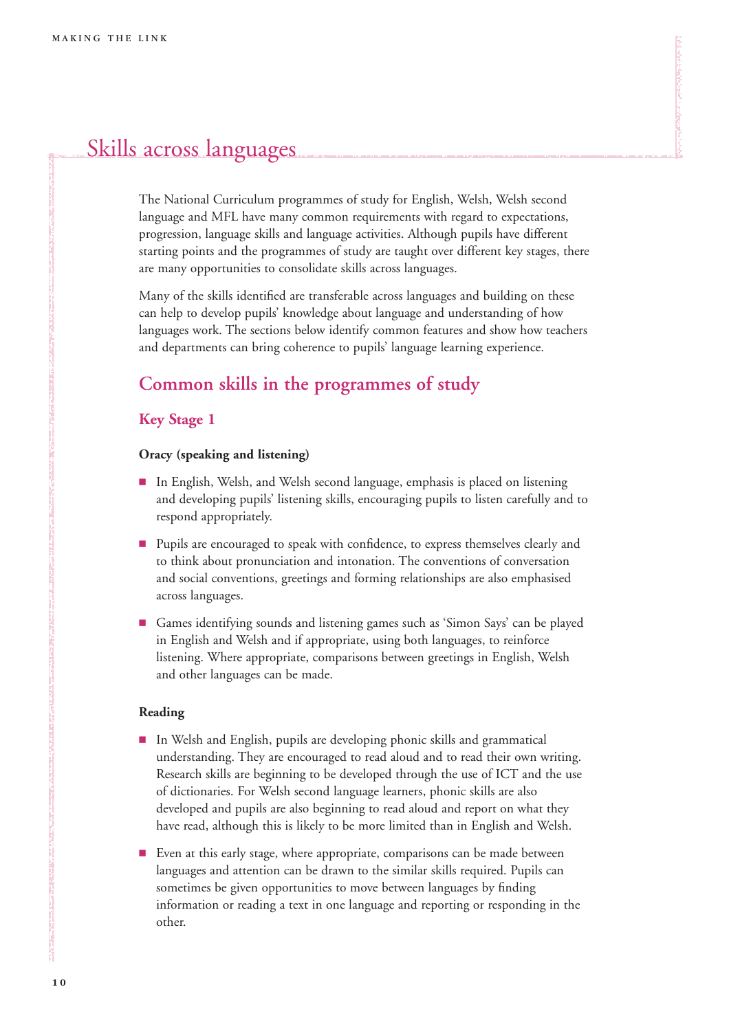# Skills across languages

The National Curriculum programmes of study for English, Welsh, Welsh second language and MFL have many common requirements with regard to expectations, progression, language skills and language activities. Although pupils have different starting points and the programmes of study are taught over different key stages, there are many opportunities to consolidate skills across languages.

Many of the skills identified are transferable across languages and building on these can help to develop pupils' knowledge about language and understanding of how languages work. The sections below identify common features and show how teachers and departments can bring coherence to pupils' language learning experience.

# **Common skills in the programmes of study**

### **Key Stage 1**

### **Oracy (speaking and listening)**

- In English, Welsh, and Welsh second language, emphasis is placed on listening and developing pupils' listening skills, encouraging pupils to listen carefully and to respond appropriately.
- **Pupils are encouraged to speak with confidence, to express themselves clearly and** to think about pronunciation and intonation. The conventions of conversation and social conventions, greetings and forming relationships are also emphasised across languages.
- 9 Games identifying sounds and listening games such as 'Simon Says' can be played in English and Welsh and if appropriate, using both languages, to reinforce listening. Where appropriate, comparisons between greetings in English, Welsh and other languages can be made.

### **Reading**

- 9 In Welsh and English, pupils are developing phonic skills and grammatical understanding. They are encouraged to read aloud and to read their own writing. Research skills are beginning to be developed through the use of ICT and the use of dictionaries. For Welsh second language learners, phonic skills are also developed and pupils are also beginning to read aloud and report on what they have read, although this is likely to be more limited than in English and Welsh.
- Even at this early stage, where appropriate, comparisons can be made between languages and attention can be drawn to the similar skills required. Pupils can sometimes be given opportunities to move between languages by finding information or reading a text in one language and reporting or responding in the other.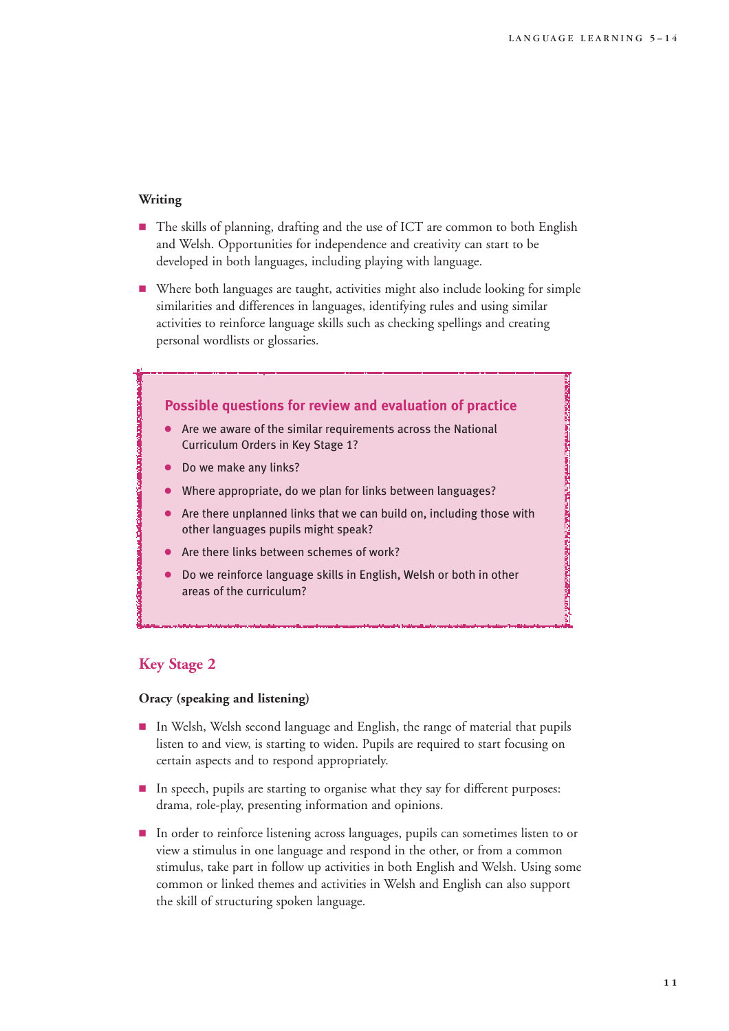### **Writing**

- The skills of planning, drafting and the use of ICT are common to both English and Welsh. Opportunities for independence and creativity can start to be developed in both languages, including playing with language.
- 9 Where both languages are taught, activities might also include looking for simple similarities and differences in languages, identifying rules and using similar activities to reinforce language skills such as checking spellings and creating personal wordlists or glossaries.



### **Key Stage 2**

### **Oracy (speaking and listening)**

- 9 In Welsh, Welsh second language and English, the range of material that pupils listen to and view, is starting to widen. Pupils are required to start focusing on certain aspects and to respond appropriately.
- In speech, pupils are starting to organise what they say for different purposes: drama, role-play, presenting information and opinions.
- In order to reinforce listening across languages, pupils can sometimes listen to or view a stimulus in one language and respond in the other, or from a common stimulus, take part in follow up activities in both English and Welsh. Using some common or linked themes and activities in Welsh and English can also support the skill of structuring spoken language.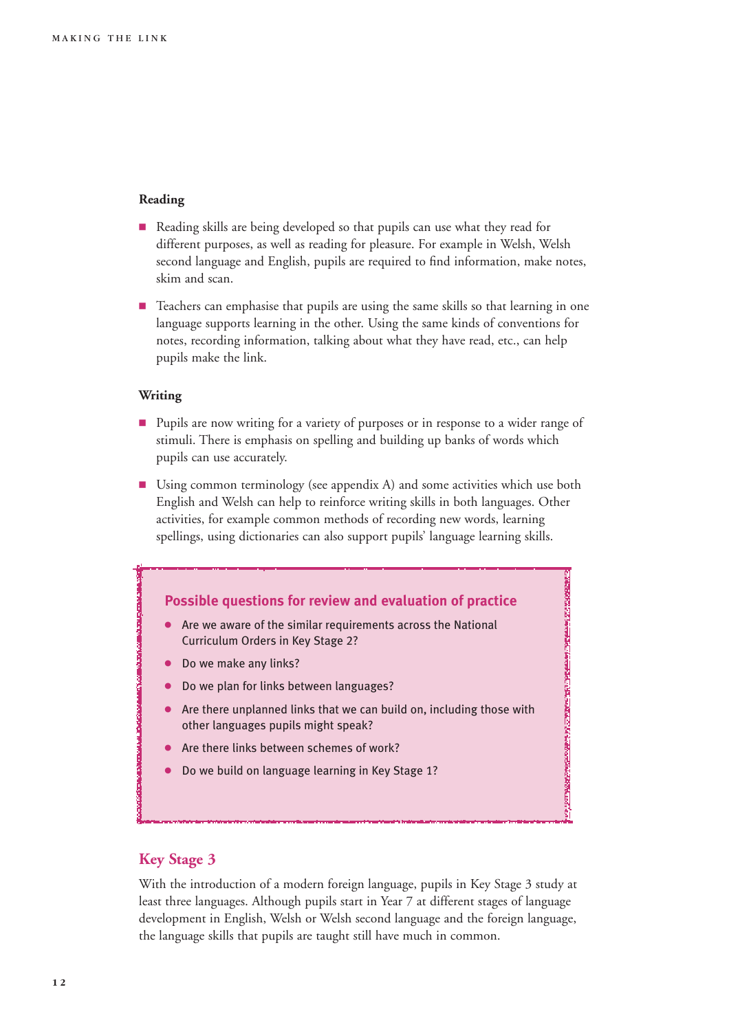### **Reading**

- Reading skills are being developed so that pupils can use what they read for different purposes, as well as reading for pleasure. For example in Welsh, Welsh second language and English, pupils are required to find information, make notes, skim and scan.
- **Example 1** Teachers can emphasise that pupils are using the same skills so that learning in one language supports learning in the other. Using the same kinds of conventions for notes, recording information, talking about what they have read, etc., can help pupils make the link.

### **Writing**

- **Pupils are now writing for a variety of purposes or in response to a wider range of** stimuli. There is emphasis on spelling and building up banks of words which pupils can use accurately.
- Using common terminology (see appendix A) and some activities which use both English and Welsh can help to reinforce writing skills in both languages. Other activities, for example common methods of recording new words, learning spellings, using dictionaries can also support pupils' language learning skills.



### **Key Stage 3**

With the introduction of a modern foreign language, pupils in Key Stage 3 study at least three languages. Although pupils start in Year 7 at different stages of language development in English, Welsh or Welsh second language and the foreign language, the language skills that pupils are taught still have much in common.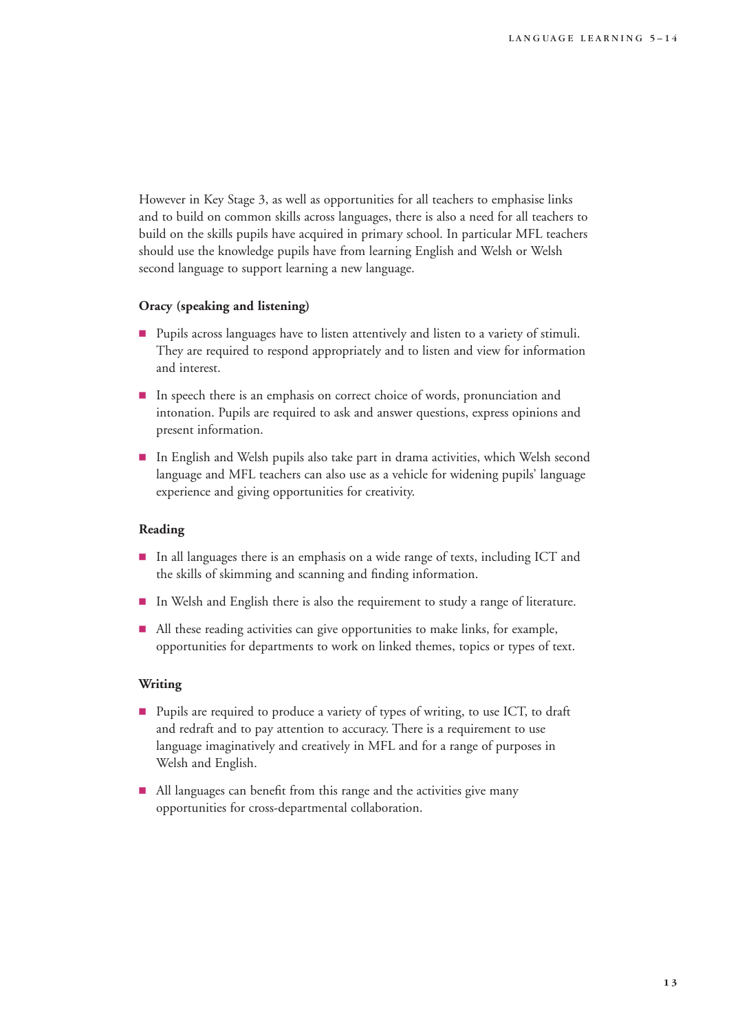However in Key Stage 3, as well as opportunities for all teachers to emphasise links and to build on common skills across languages, there is also a need for all teachers to build on the skills pupils have acquired in primary school. In particular MFL teachers should use the knowledge pupils have from learning English and Welsh or Welsh second language to support learning a new language.

### **Oracy (speaking and listening)**

- **Pupils across languages have to listen attentively and listen to a variety of stimuli.** They are required to respond appropriately and to listen and view for information and interest.
- In speech there is an emphasis on correct choice of words, pronunciation and intonation. Pupils are required to ask and answer questions, express opinions and present information.
- 9 In English and Welsh pupils also take part in drama activities, which Welsh second language and MFL teachers can also use as a vehicle for widening pupils' language experience and giving opportunities for creativity.

### **Reading**

- 9 In all languages there is an emphasis on a wide range of texts, including ICT and the skills of skimming and scanning and finding information.
- **IF** In Welsh and English there is also the requirement to study a range of literature.
- All these reading activities can give opportunities to make links, for example, opportunities for departments to work on linked themes, topics or types of text.

### **Writing**

- Pupils are required to produce a variety of types of writing, to use ICT, to draft and redraft and to pay attention to accuracy. There is a requirement to use language imaginatively and creatively in MFL and for a range of purposes in Welsh and English.
- All languages can benefit from this range and the activities give many opportunities for cross-departmental collaboration.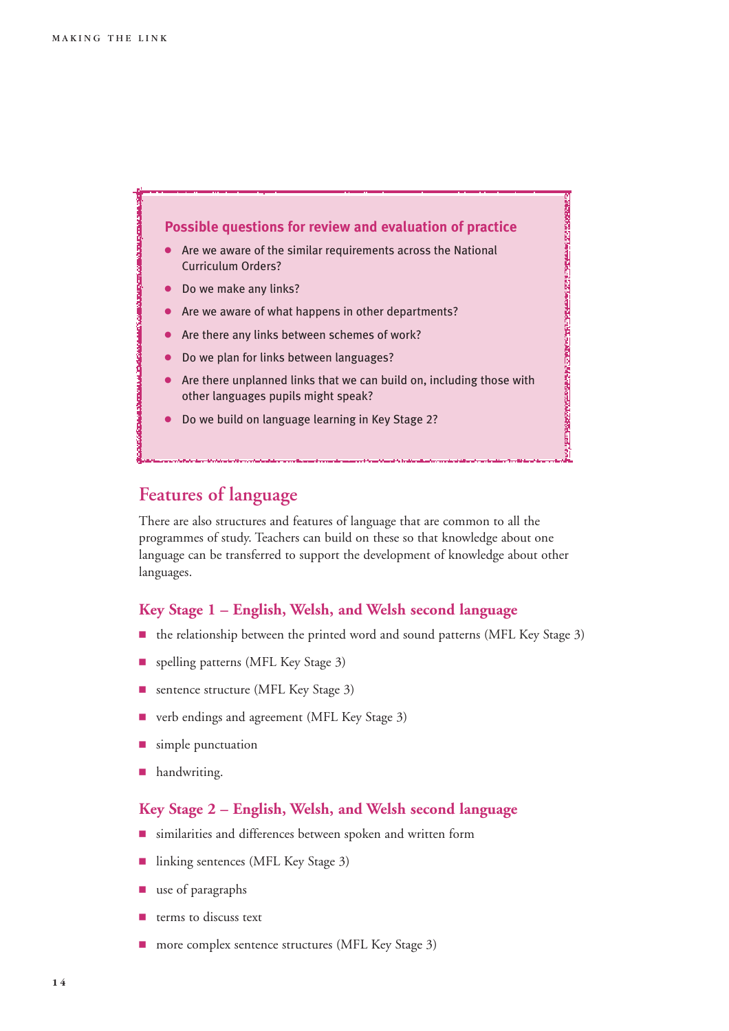

# **Features of language**

There are also structures and features of language that are common to all the programmes of study. Teachers can build on these so that knowledge about one language can be transferred to support the development of knowledge about other languages.

### **Key Stage 1 – English, Welsh, and Welsh second language**

- the relationship between the printed word and sound patterns (MFL Key Stage 3)
- **9** spelling patterns (MFL Key Stage 3)
- **9 sentence structure (MFL Key Stage 3)**
- verb endings and agreement (MFL Key Stage 3)
- **9** simple punctuation
- **n** handwriting.

### **Key Stage 2 – English, Welsh, and Welsh second language**

- 9 similarities and differences between spoken and written form
- linking sentences (MFL Key Stage 3)
- $\blacksquare$  use of paragraphs
- 9 terms to discuss text
- more complex sentence structures (MFL Key Stage 3)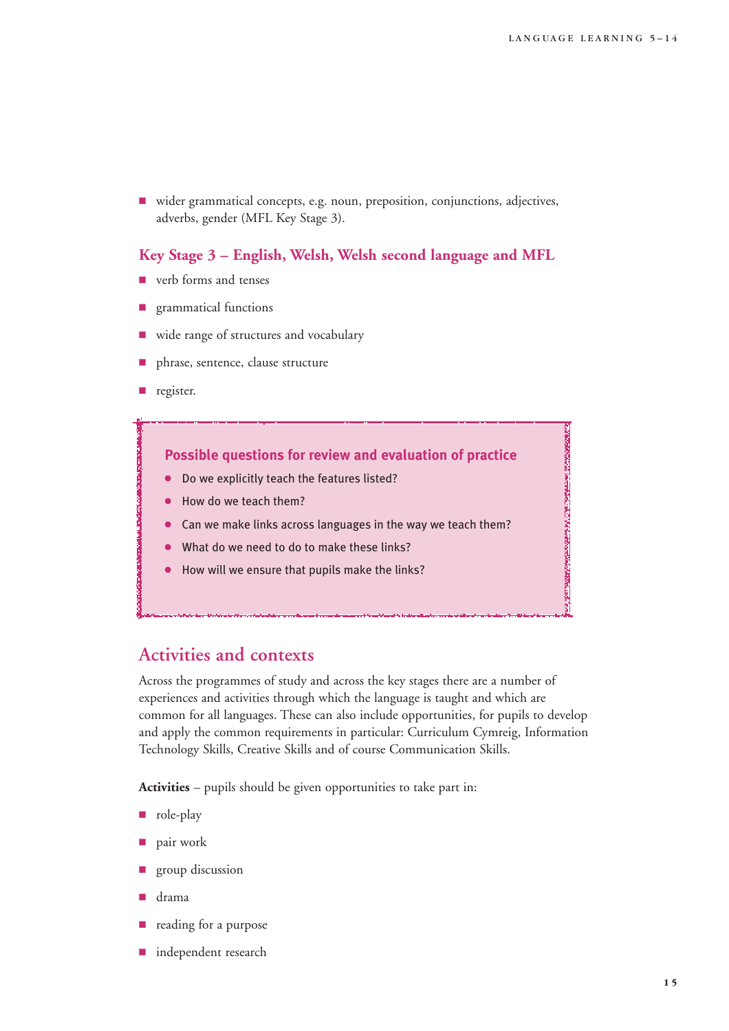**POPOLIS AND PROPERTY AND CONSUMPTION** 

vider grammatical concepts, e.g. noun, preposition, conjunctions, adjectives, adverbs, gender (MFL Key Stage 3).

### **Key Stage 3 – English, Welsh, Welsh second language and MFL**

- verb forms and tenses
- 9 grammatical functions
- wide range of structures and vocabulary
- 9 phrase, sentence, clause structure
- **p** register.

### **Possible questions for review and evaluation of practice**

- Do we explicitly teach the features listed?
- How do we teach them?
- Can we make links across languages in the way we teach them?
- What do we need to do to make these links?
- How will we ensure that pupils make the links?

## **Activities and contexts**

Across the programmes of study and across the key stages there are a number of experiences and activities through which the language is taught and which are common for all languages. These can also include opportunities, for pupils to develop and apply the common requirements in particular: Curriculum Cymreig, Information Technology Skills, Creative Skills and of course Communication Skills.

**Activities** – pupils should be given opportunities to take part in:

- nde-play
- 9 pair work
- group discussion
- drama
- reading for a purpose
- **n** independent research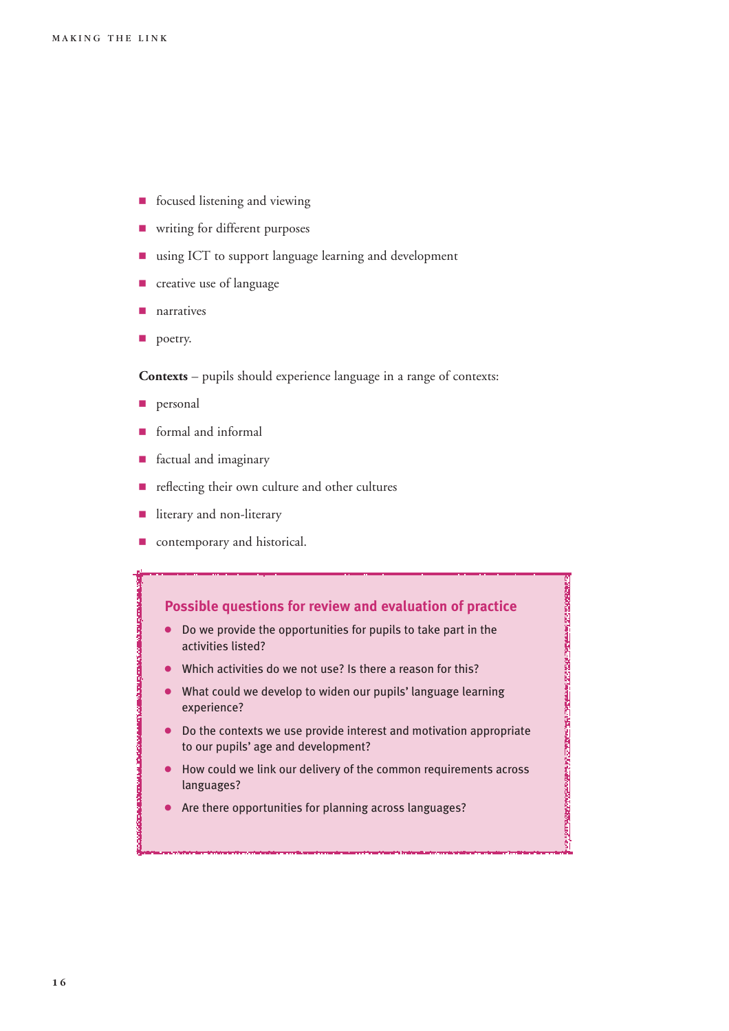- **9** focused listening and viewing
- **P** writing for different purposes
- $\blacksquare$  using ICT to support language learning and development
- **P** creative use of language
- narratives
- poetry.

**Contexts** – pupils should experience language in a range of contexts:

- **personal**
- 9 formal and informal
- factual and imaginary
- reflecting their own culture and other cultures
- literary and non-literary
- $\blacksquare$  contemporary and historical.

### **Possible questions for review and evaluation of practice**

- 4 Do we provide the opportunities for pupils to take part in the activities listed?
- Which activities do we not use? Is there a reason for this?
- 4 What could we develop to widen our pupils' language learning experience?
- 4 Do the contexts we use provide interest and motivation appropriate to our pupils' age and development?

- 4 How could we link our delivery of the common requirements across languages?
- 4 Are there opportunities for planning across languages?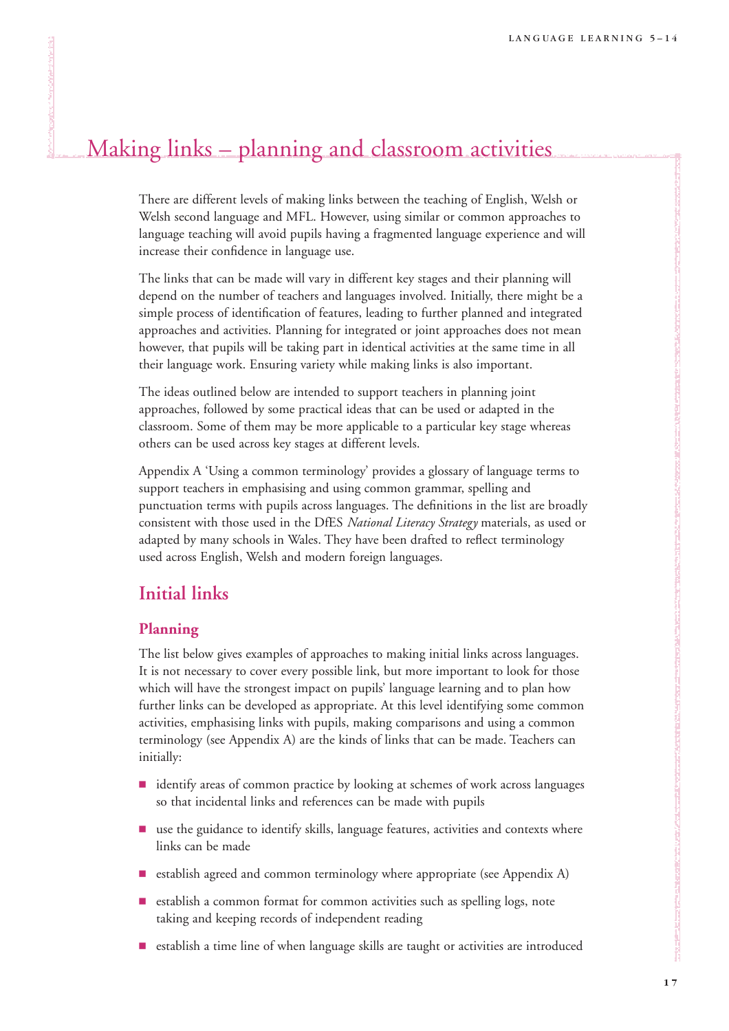# Making links – planning and classroom activities

There are different levels of making links between the teaching of English, Welsh or Welsh second language and MFL. However, using similar or common approaches to language teaching will avoid pupils having a fragmented language experience and will increase their confidence in language use.

The links that can be made will vary in different key stages and their planning will depend on the number of teachers and languages involved. Initially, there might be a simple process of identification of features, leading to further planned and integrated approaches and activities. Planning for integrated or joint approaches does not mean however, that pupils will be taking part in identical activities at the same time in all their language work. Ensuring variety while making links is also important.

The ideas outlined below are intended to support teachers in planning joint approaches, followed by some practical ideas that can be used or adapted in the classroom. Some of them may be more applicable to a particular key stage whereas others can be used across key stages at different levels.

Appendix A 'Using a common terminology' provides a glossary of language terms to support teachers in emphasising and using common grammar, spelling and punctuation terms with pupils across languages. The definitions in the list are broadly consistent with those used in the DfES *National Literacy Strategy* materials, as used or adapted by many schools in Wales. They have been drafted to reflect terminology used across English, Welsh and modern foreign languages.

# **Initial links**

### **Planning**

The list below gives examples of approaches to making initial links across languages. It is not necessary to cover every possible link, but more important to look for those which will have the strongest impact on pupils' language learning and to plan how further links can be developed as appropriate. At this level identifying some common activities, emphasising links with pupils, making comparisons and using a common terminology (see Appendix A) are the kinds of links that can be made. Teachers can initially:

- 9 identify areas of common practice by looking at schemes of work across languages so that incidental links and references can be made with pupils
- $\blacksquare$  use the guidance to identify skills, language features, activities and contexts where links can be made
- establish agreed and common terminology where appropriate (see Appendix A)
- 9 establish a common format for common activities such as spelling logs, note taking and keeping records of independent reading
- 9 establish a time line of when language skills are taught or activities are introduced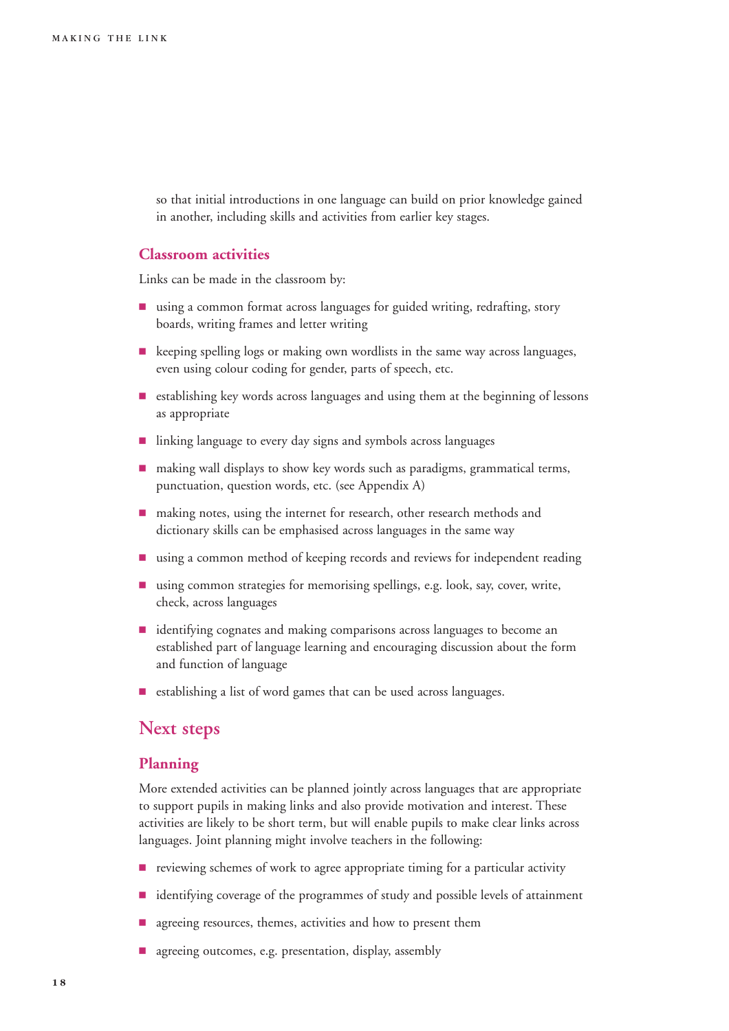so that initial introductions in one language can build on prior knowledge gained in another, including skills and activities from earlier key stages.

### **Classroom activities**

Links can be made in the classroom by:

- using a common format across languages for guided writing, redrafting, story boards, writing frames and letter writing
- keeping spelling logs or making own wordlists in the same way across languages, even using colour coding for gender, parts of speech, etc.
- 9 establishing key words across languages and using them at the beginning of lessons as appropriate
- linking language to every day signs and symbols across languages
- $\blacksquare$  making wall displays to show key words such as paradigms, grammatical terms, punctuation, question words, etc. (see Appendix A)
- making notes, using the internet for research, other research methods and dictionary skills can be emphasised across languages in the same way
- using a common method of keeping records and reviews for independent reading
- using common strategies for memorising spellings, e.g. look, say, cover, write, check, across languages
- identifying cognates and making comparisons across languages to become an established part of language learning and encouraging discussion about the form and function of language
- establishing a list of word games that can be used across languages.

### **Next steps**

### **Planning**

More extended activities can be planned jointly across languages that are appropriate to support pupils in making links and also provide motivation and interest. These activities are likely to be short term, but will enable pupils to make clear links across languages. Joint planning might involve teachers in the following:

- **P** reviewing schemes of work to agree appropriate timing for a particular activity
- identifying coverage of the programmes of study and possible levels of attainment
- agreeing resources, themes, activities and how to present them
- **E** agreeing outcomes, e.g. presentation, display, assembly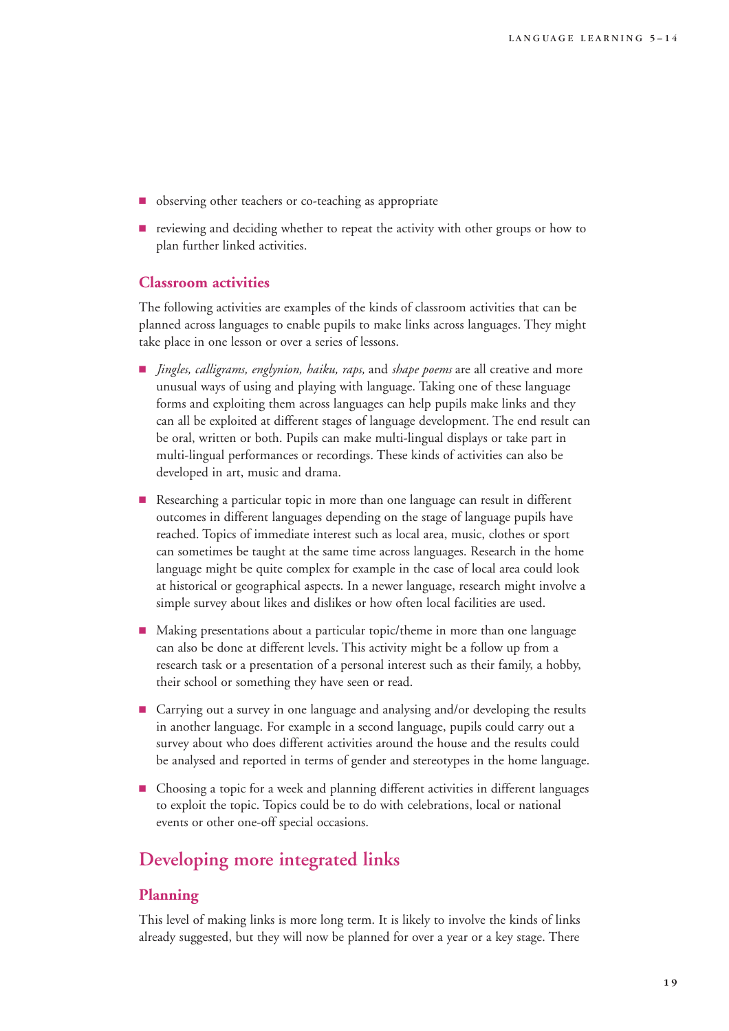- observing other teachers or co-teaching as appropriate
- 9 reviewing and deciding whether to repeat the activity with other groups or how to plan further linked activities.

### **Classroom activities**

The following activities are examples of the kinds of classroom activities that can be planned across languages to enable pupils to make links across languages. They might take place in one lesson or over a series of lessons.

- 9 *Jingles, calligrams, englynion, haiku, raps,* and *shape poems* are all creative and more unusual ways of using and playing with language. Taking one of these language forms and exploiting them across languages can help pupils make links and they can all be exploited at different stages of language development. The end result can be oral, written or both. Pupils can make multi-lingual displays or take part in multi-lingual performances or recordings. These kinds of activities can also be developed in art, music and drama.
- Researching a particular topic in more than one language can result in different outcomes in different languages depending on the stage of language pupils have reached. Topics of immediate interest such as local area, music, clothes or sport can sometimes be taught at the same time across languages. Research in the home language might be quite complex for example in the case of local area could look at historical or geographical aspects. In a newer language, research might involve a simple survey about likes and dislikes or how often local facilities are used.
- 9 Making presentations about a particular topic/theme in more than one language can also be done at different levels. This activity might be a follow up from a research task or a presentation of a personal interest such as their family, a hobby, their school or something they have seen or read.
- 9 Carrying out a survey in one language and analysing and/or developing the results in another language. For example in a second language, pupils could carry out a survey about who does different activities around the house and the results could be analysed and reported in terms of gender and stereotypes in the home language.
- 9 Choosing a topic for a week and planning different activities in different languages to exploit the topic. Topics could be to do with celebrations, local or national events or other one-off special occasions.

# **Developing more integrated links**

### **Planning**

This level of making links is more long term. It is likely to involve the kinds of links already suggested, but they will now be planned for over a year or a key stage. There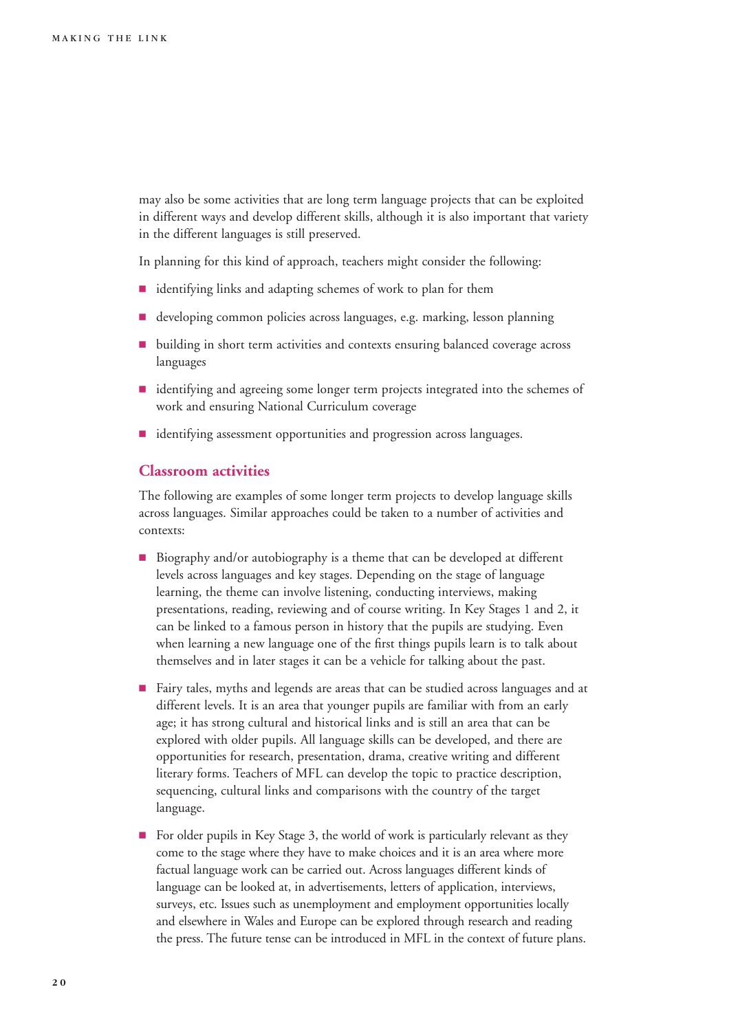may also be some activities that are long term language projects that can be exploited in different ways and develop different skills, although it is also important that variety in the different languages is still preserved.

In planning for this kind of approach, teachers might consider the following:

- **dentifying links and adapting schemes of work to plan for them**
- developing common policies across languages, e.g. marking, lesson planning
- <sup>•</sup> building in short term activities and contexts ensuring balanced coverage across languages
- **didentifying and agreeing some longer term projects integrated into the schemes of** work and ensuring National Curriculum coverage
- $\blacksquare$  identifying assessment opportunities and progression across languages.

### **Classroom activities**

The following are examples of some longer term projects to develop language skills across languages. Similar approaches could be taken to a number of activities and contexts:

- Biography and/or autobiography is a theme that can be developed at different levels across languages and key stages. Depending on the stage of language learning, the theme can involve listening, conducting interviews, making presentations, reading, reviewing and of course writing. In Key Stages 1 and 2, it can be linked to a famous person in history that the pupils are studying. Even when learning a new language one of the first things pupils learn is to talk about themselves and in later stages it can be a vehicle for talking about the past.
- 9 Fairy tales, myths and legends are areas that can be studied across languages and at different levels. It is an area that younger pupils are familiar with from an early age; it has strong cultural and historical links and is still an area that can be explored with older pupils. All language skills can be developed, and there are opportunities for research, presentation, drama, creative writing and different literary forms. Teachers of MFL can develop the topic to practice description, sequencing, cultural links and comparisons with the country of the target language.
- For older pupils in Key Stage 3, the world of work is particularly relevant as they come to the stage where they have to make choices and it is an area where more factual language work can be carried out. Across languages different kinds of language can be looked at, in advertisements, letters of application, interviews, surveys, etc. Issues such as unemployment and employment opportunities locally and elsewhere in Wales and Europe can be explored through research and reading the press. The future tense can be introduced in MFL in the context of future plans.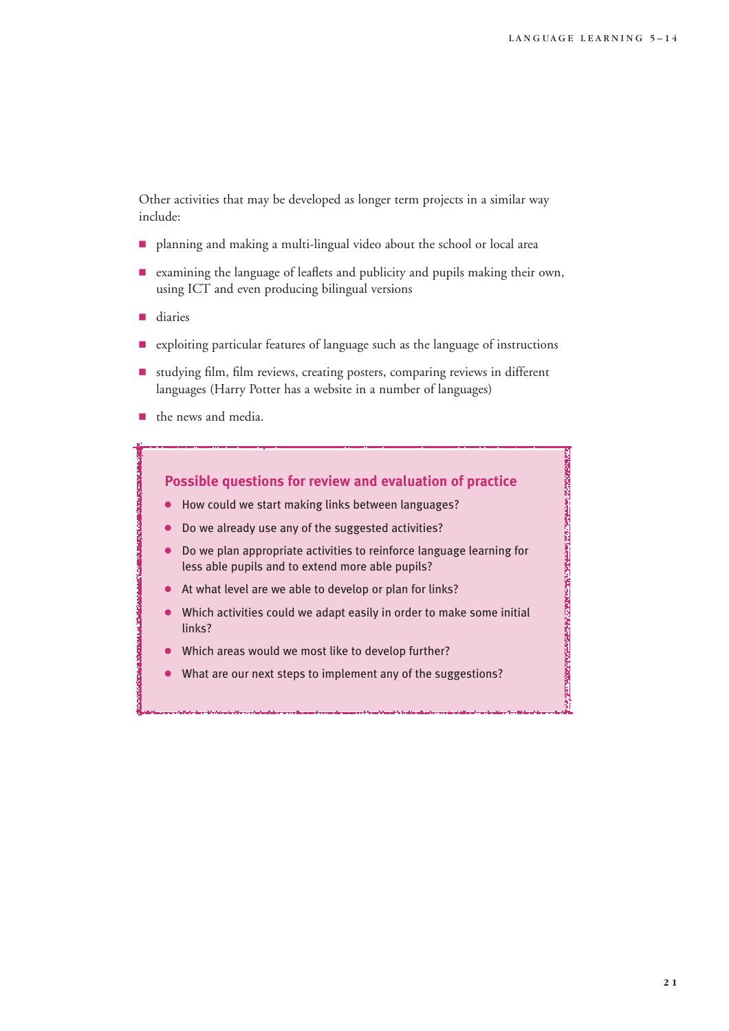Other activities that may be developed as longer term projects in a similar way include:

- 9 planning and making a multi-lingual video about the school or local area
- 9 examining the language of leaflets and publicity and pupils making their own, using ICT and even producing bilingual versions
- **diaries**
- 9 exploiting particular features of language such as the language of instructions
- 9 studying film, film reviews, creating posters, comparing reviews in different languages (Harry Potter has a website in a number of languages)
- **1** the news and media.

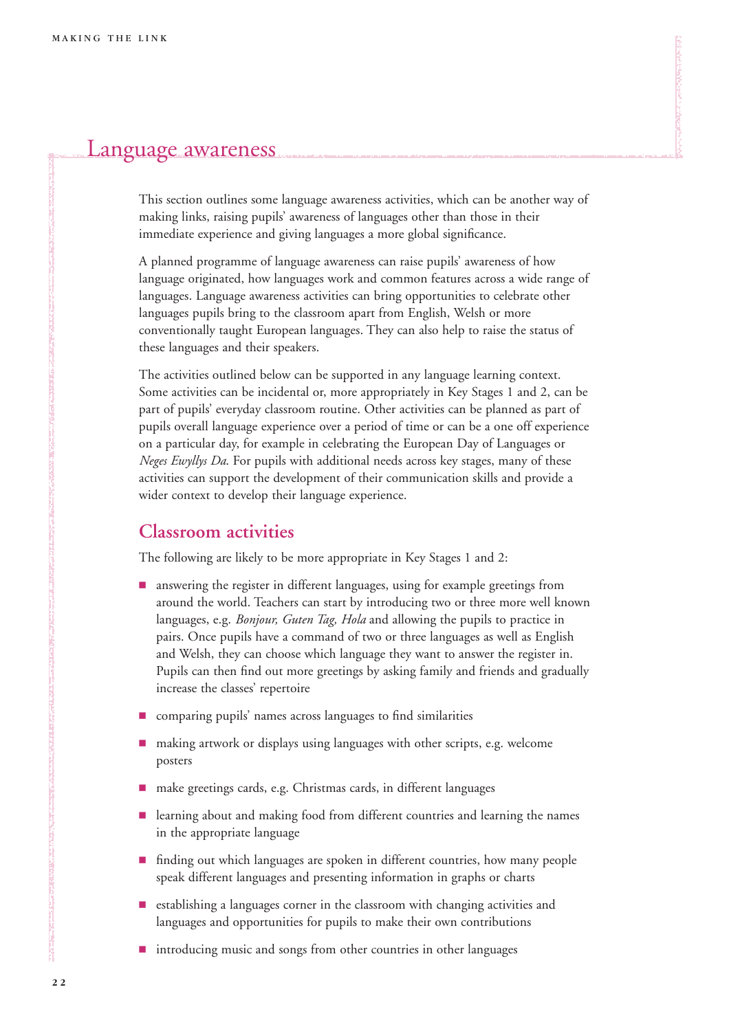# Language awareness

This section outlines some language awareness activities, which can be another way of making links, raising pupils' awareness of languages other than those in their immediate experience and giving languages a more global significance.

A planned programme of language awareness can raise pupils' awareness of how language originated, how languages work and common features across a wide range of languages. Language awareness activities can bring opportunities to celebrate other languages pupils bring to the classroom apart from English, Welsh or more conventionally taught European languages. They can also help to raise the status of these languages and their speakers.

The activities outlined below can be supported in any language learning context. Some activities can be incidental or, more appropriately in Key Stages 1 and 2, can be part of pupils' everyday classroom routine. Other activities can be planned as part of pupils overall language experience over a period of time or can be a one off experience on a particular day, for example in celebrating the European Day of Languages or *Neges Ewyllys Da*. For pupils with additional needs across key stages, many of these activities can support the development of their communication skills and provide a wider context to develop their language experience.

### **Classroom activities**

The following are likely to be more appropriate in Key Stages 1 and 2:

- **E** answering the register in different languages, using for example greetings from around the world. Teachers can start by introducing two or three more well known languages, e.g. *Bonjour, Guten Tag, Hola* and allowing the pupils to practice in pairs. Once pupils have a command of two or three languages as well as English and Welsh, they can choose which language they want to answer the register in. Pupils can then find out more greetings by asking family and friends and gradually increase the classes' repertoire
- comparing pupils' names across languages to find similarities
- 9 making artwork or displays using languages with other scripts, e.g. welcome posters
- make greetings cards, e.g. Christmas cards, in different languages
- **Example 2** learning about and making food from different countries and learning the names in the appropriate language
- **Finding out which languages are spoken in different countries, how many people** speak different languages and presenting information in graphs or charts
- 9 establishing a languages corner in the classroom with changing activities and languages and opportunities for pupils to make their own contributions
- $\blacksquare$  introducing music and songs from other countries in other languages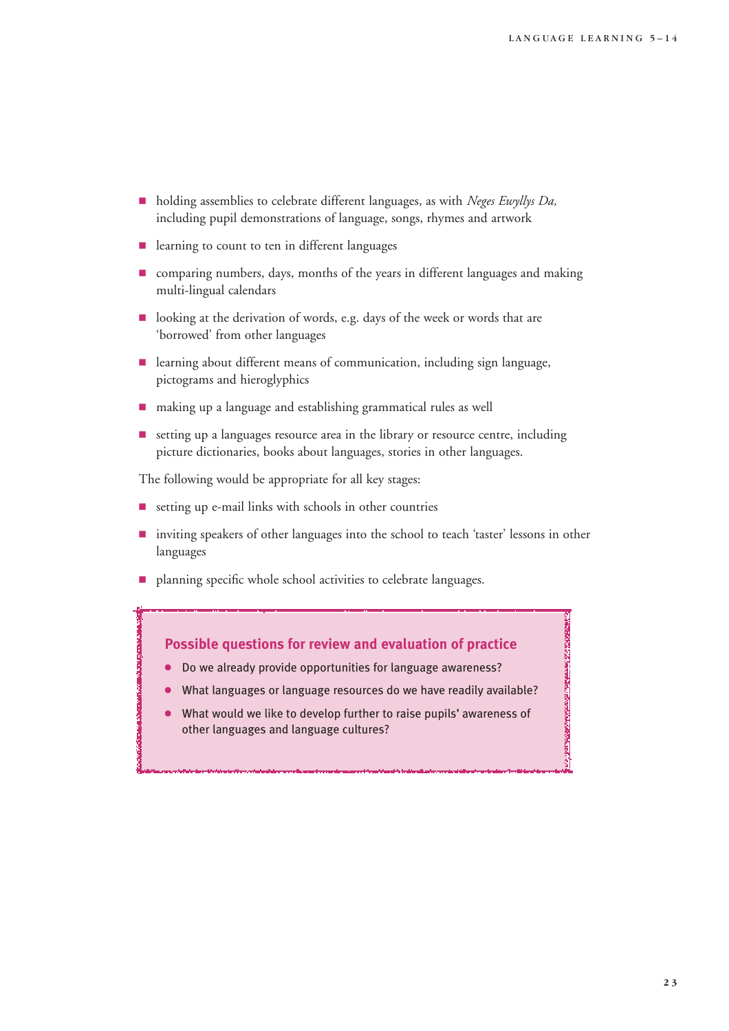**MOOROOM IS A SHARAFAIR AND INTERNATIONAL CONTINUES.** 

- holding assemblies to celebrate different languages, as with *Neges Ewyllys Da*, including pupil demonstrations of language, songs, rhymes and artwork
- $\blacksquare$  learning to count to ten in different languages
- $\blacksquare$  comparing numbers, days, months of the years in different languages and making multi-lingual calendars
- looking at the derivation of words, e.g. days of the week or words that are 'borrowed' from other languages
- learning about different means of communication, including sign language, pictograms and hieroglyphics
- 9 making up a language and establishing grammatical rules as well
- 9 setting up a languages resource area in the library or resource centre, including picture dictionaries, books about languages, stories in other languages.

The following would be appropriate for all key stages:

- $\blacksquare$  setting up e-mail links with schools in other countries
- 9 inviting speakers of other languages into the school to teach 'taster' lessons in other languages
- **P** planning specific whole school activities to celebrate languages.



- 4 Do we already provide opportunities for language awareness?
- What languages or language resources do we have readily available?
- What would we like to develop further to raise pupils' awareness of other languages and language cultures?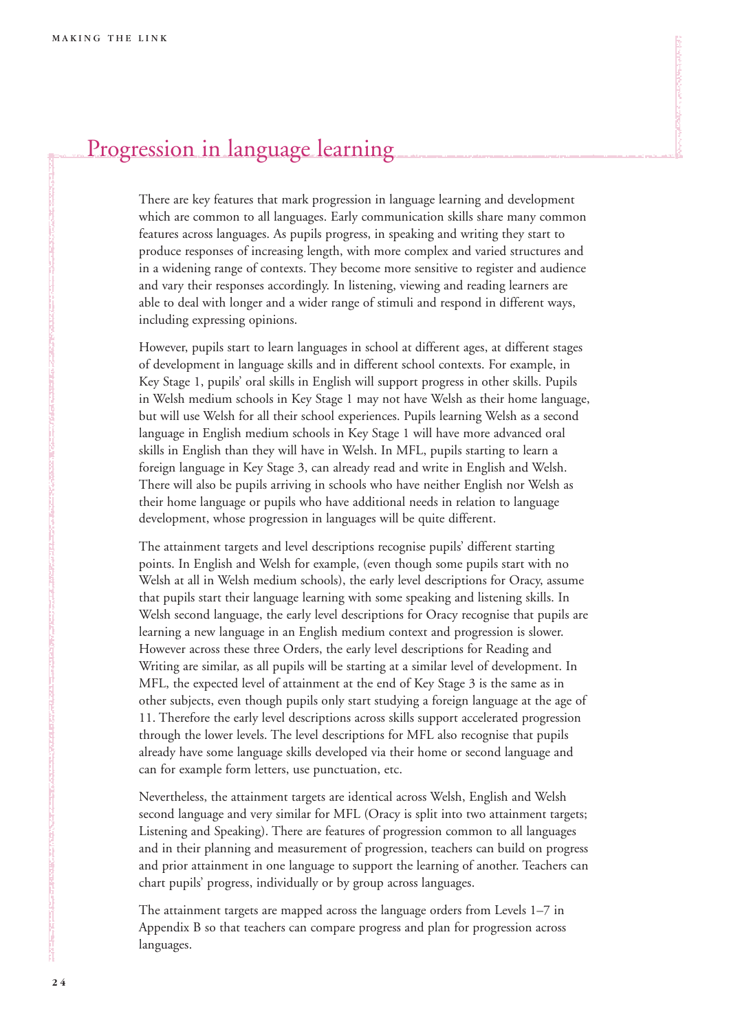# Progression in language learning

There are key features that mark progression in language learning and development which are common to all languages. Early communication skills share many common features across languages. As pupils progress, in speaking and writing they start to produce responses of increasing length, with more complex and varied structures and in a widening range of contexts. They become more sensitive to register and audience and vary their responses accordingly. In listening, viewing and reading learners are able to deal with longer and a wider range of stimuli and respond in different ways, including expressing opinions.

However, pupils start to learn languages in school at different ages, at different stages of development in language skills and in different school contexts. For example, in Key Stage 1, pupils' oral skills in English will support progress in other skills. Pupils in Welsh medium schools in Key Stage 1 may not have Welsh as their home language, but will use Welsh for all their school experiences. Pupils learning Welsh as a second language in English medium schools in Key Stage 1 will have more advanced oral skills in English than they will have in Welsh. In MFL, pupils starting to learn a foreign language in Key Stage 3, can already read and write in English and Welsh. There will also be pupils arriving in schools who have neither English nor Welsh as their home language or pupils who have additional needs in relation to language development, whose progression in languages will be quite different.

The attainment targets and level descriptions recognise pupils' different starting points. In English and Welsh for example, (even though some pupils start with no Welsh at all in Welsh medium schools), the early level descriptions for Oracy, assume that pupils start their language learning with some speaking and listening skills. In Welsh second language, the early level descriptions for Oracy recognise that pupils are learning a new language in an English medium context and progression is slower. However across these three Orders, the early level descriptions for Reading and Writing are similar, as all pupils will be starting at a similar level of development. In MFL, the expected level of attainment at the end of Key Stage 3 is the same as in other subjects, even though pupils only start studying a foreign language at the age of 11. Therefore the early level descriptions across skills support accelerated progression through the lower levels. The level descriptions for MFL also recognise that pupils already have some language skills developed via their home or second language and can for example form letters, use punctuation, etc.

Nevertheless, the attainment targets are identical across Welsh, English and Welsh second language and very similar for MFL (Oracy is split into two attainment targets; Listening and Speaking). There are features of progression common to all languages and in their planning and measurement of progression, teachers can build on progress and prior attainment in one language to support the learning of another. Teachers can chart pupils' progress, individually or by group across languages.

The attainment targets are mapped across the language orders from Levels 1–7 in Appendix B so that teachers can compare progress and plan for progression across languages.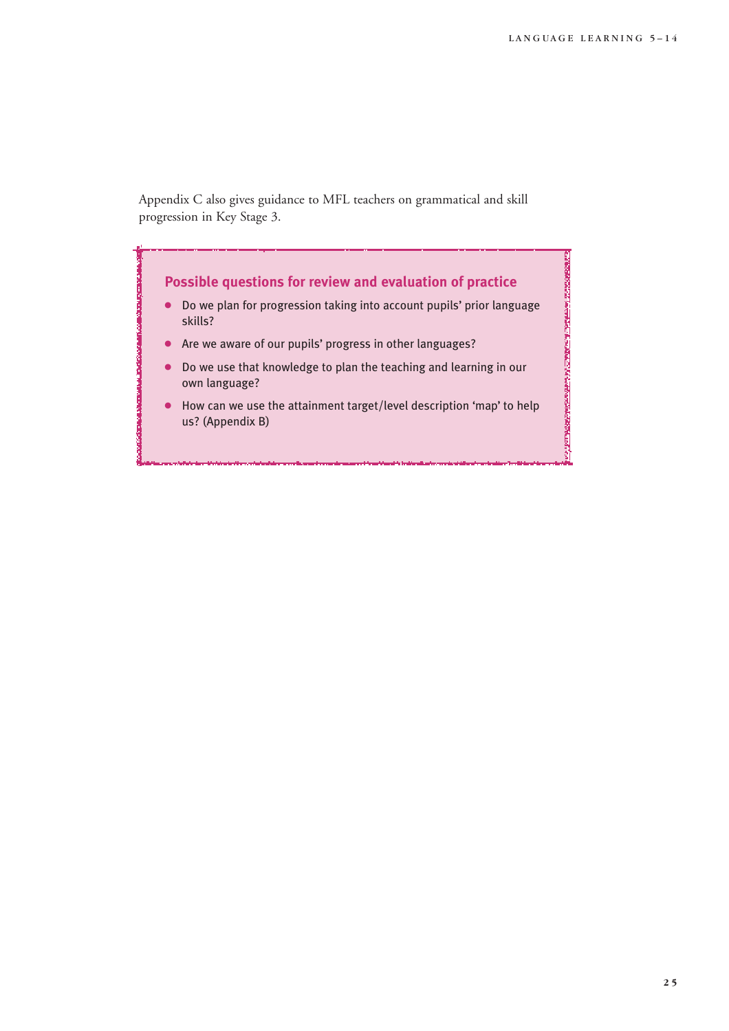Appendix C also gives guidance to MFL teachers on grammatical and skill progression in Key Stage 3.

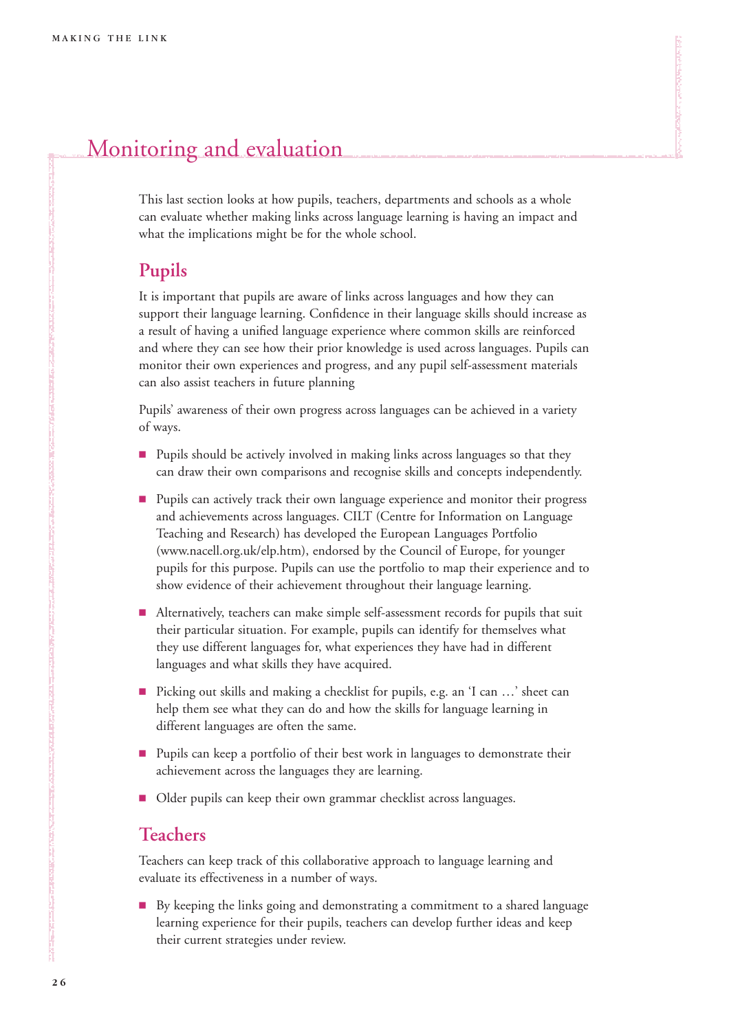# Monitoring and evaluation

This last section looks at how pupils, teachers, departments and schools as a whole can evaluate whether making links across language learning is having an impact and what the implications might be for the whole school.

### **Pupils**

It is important that pupils are aware of links across languages and how they can support their language learning. Confidence in their language skills should increase as a result of having a unified language experience where common skills are reinforced and where they can see how their prior knowledge is used across languages. Pupils can monitor their own experiences and progress, and any pupil self-assessment materials can also assist teachers in future planning

Pupils' awareness of their own progress across languages can be achieved in a variety of ways.

- **Pupils should be actively involved in making links across languages so that they** can draw their own comparisons and recognise skills and concepts independently.
- **Pupils can actively track their own language experience and monitor their progress** and achievements across languages. CILT (Centre for Information on Language Teaching and Research) has developed the European Languages Portfolio (www.nacell.org.uk/elp.htm), endorsed by the Council of Europe, for younger pupils for this purpose. Pupils can use the portfolio to map their experience and to show evidence of their achievement throughout their language learning.
- Alternatively, teachers can make simple self-assessment records for pupils that suit their particular situation. For example, pupils can identify for themselves what they use different languages for, what experiences they have had in different languages and what skills they have acquired.
- Picking out skills and making a checklist for pupils, e.g. an 'I can ...' sheet can help them see what they can do and how the skills for language learning in different languages are often the same.
- **Pupils can keep a portfolio of their best work in languages to demonstrate their** achievement across the languages they are learning.
- **Delet pupils can keep their own grammar checklist across languages.**

### **Teachers**

Teachers can keep track of this collaborative approach to language learning and evaluate its effectiveness in a number of ways.

9 By keeping the links going and demonstrating a commitment to a shared language learning experience for their pupils, teachers can develop further ideas and keep their current strategies under review.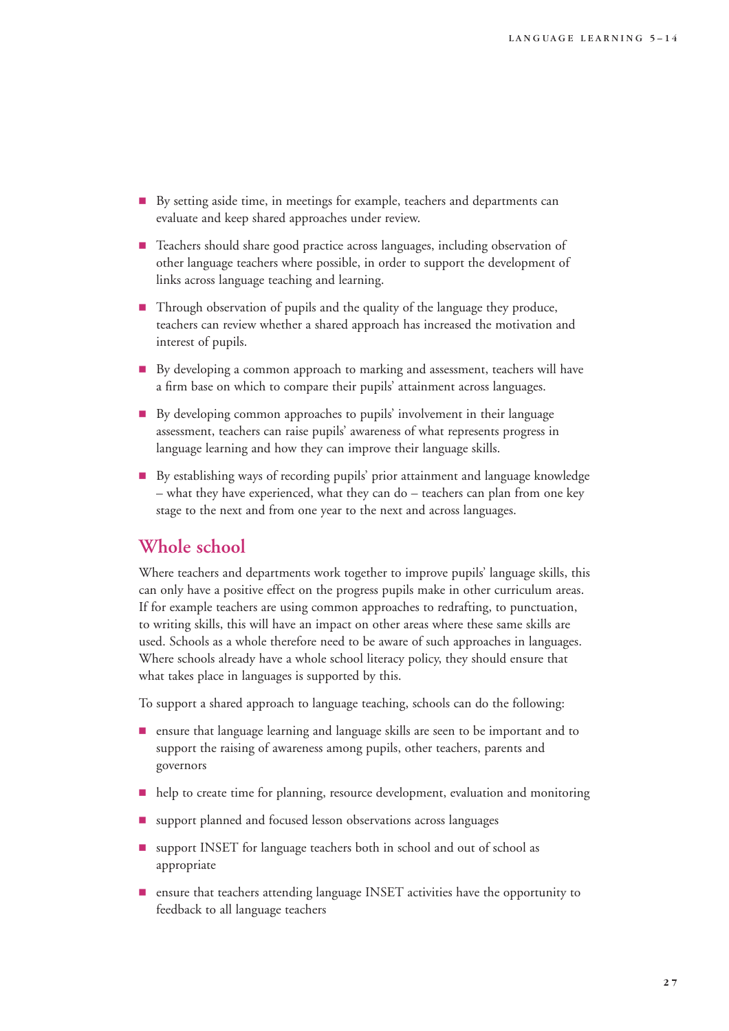- 9 By setting aside time, in meetings for example, teachers and departments can evaluate and keep shared approaches under review.
- **EXECUTE:** Teachers should share good practice across languages, including observation of other language teachers where possible, in order to support the development of links across language teaching and learning.
- Through observation of pupils and the quality of the language they produce, teachers can review whether a shared approach has increased the motivation and interest of pupils.
- 9 By developing a common approach to marking and assessment, teachers will have a firm base on which to compare their pupils' attainment across languages.
- 9 By developing common approaches to pupils' involvement in their language assessment, teachers can raise pupils' awareness of what represents progress in language learning and how they can improve their language skills.
- 9 By establishing ways of recording pupils' prior attainment and language knowledge – what they have experienced, what they can do – teachers can plan from one key stage to the next and from one year to the next and across languages.

### **Whole school**

Where teachers and departments work together to improve pupils' language skills, this can only have a positive effect on the progress pupils make in other curriculum areas. If for example teachers are using common approaches to redrafting, to punctuation, to writing skills, this will have an impact on other areas where these same skills are used. Schools as a whole therefore need to be aware of such approaches in languages. Where schools already have a whole school literacy policy, they should ensure that what takes place in languages is supported by this.

To support a shared approach to language teaching, schools can do the following:

- 9 ensure that language learning and language skills are seen to be important and to support the raising of awareness among pupils, other teachers, parents and governors
- 9 help to create time for planning, resource development, evaluation and monitoring
- support planned and focused lesson observations across languages
- **9** support INSET for language teachers both in school and out of school as appropriate
- **Exercise 1** ensure that teachers attending language INSET activities have the opportunity to feedback to all language teachers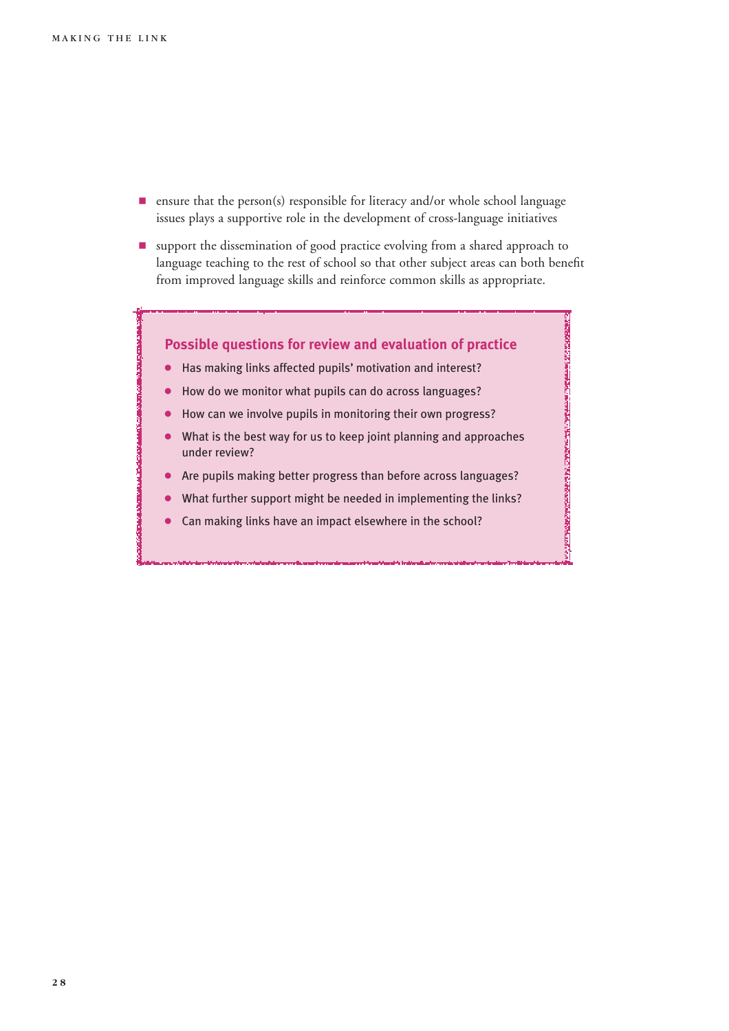- $\blacksquare$  ensure that the person(s) responsible for literacy and/or whole school language issues plays a supportive role in the development of cross-language initiatives
- **9** support the dissemination of good practice evolving from a shared approach to language teaching to the rest of school so that other subject areas can both benefit from improved language skills and reinforce common skills as appropriate.

### **Possible questions for review and evaluation of practice**

- 4 Has making links affected pupils' motivation and interest?
- How do we monitor what pupils can do across languages?
- How can we involve pupils in monitoring their own progress?
- What is the best way for us to keep joint planning and approaches under review?

**SMORTH AND A STATISTICS OF A STATISTICS OF A STATISTICS OF A STATISTICS OF A STATISTICS OF A STATISTICS OF A ST** 

- 4 Are pupils making better progress than before across languages?
- 4 What further support might be needed in implementing the links?
- 4 Can making links have an impact elsewhere in the school?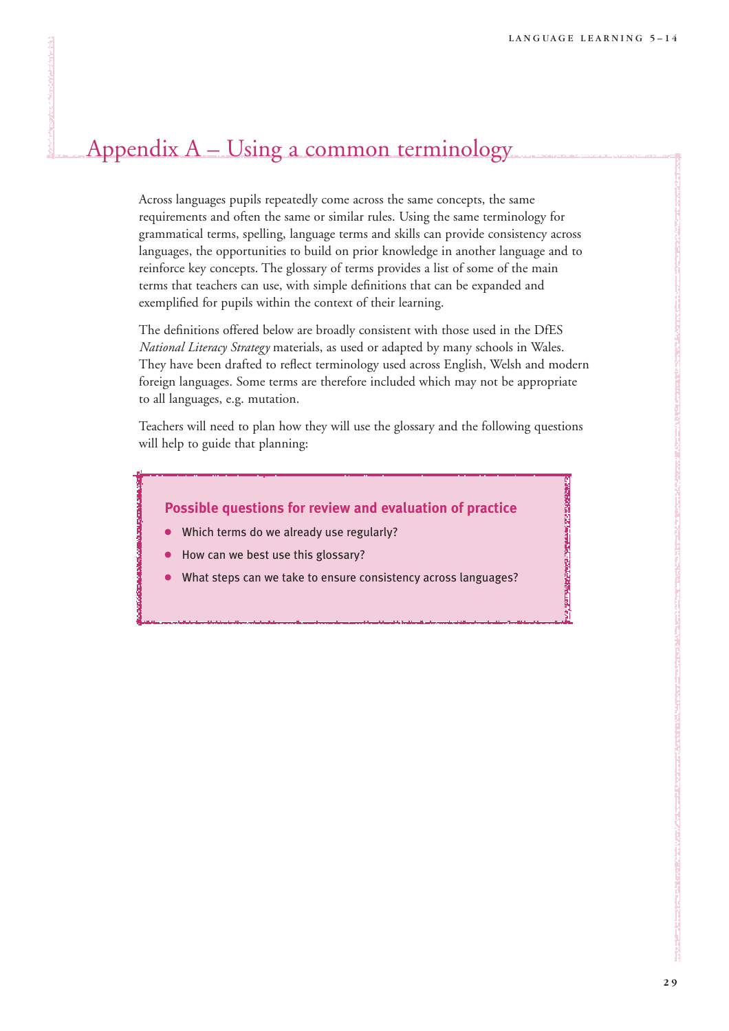**CONTRACTORS IN THE REPORT OF THE REPORT** 

# Appendix A – Using a common terminology

Across languages pupils repeatedly come across the same concepts, the same requirements and often the same or similar rules. Using the same terminology for grammatical terms, spelling, language terms and skills can provide consistency across languages, the opportunities to build on prior knowledge in another language and to reinforce key concepts. The glossary of terms provides a list of some of the main terms that teachers can use, with simple definitions that can be expanded and exemplified for pupils within the context of their learning.

The definitions offered below are broadly consistent with those used in the DfES *National Literacy Strategy* materials, as used or adapted by many schools in Wales. They have been drafted to reflect terminology used across English, Welsh and modern foreign languages. Some terms are therefore included which may not be appropriate to all languages, e.g. mutation.

Teachers will need to plan how they will use the glossary and the following questions will help to guide that planning:

### **Possible questions for review and evaluation of practice**

- Which terms do we already use regularly?
- How can we best use this glossary?
- What steps can we take to ensure consistency across languages?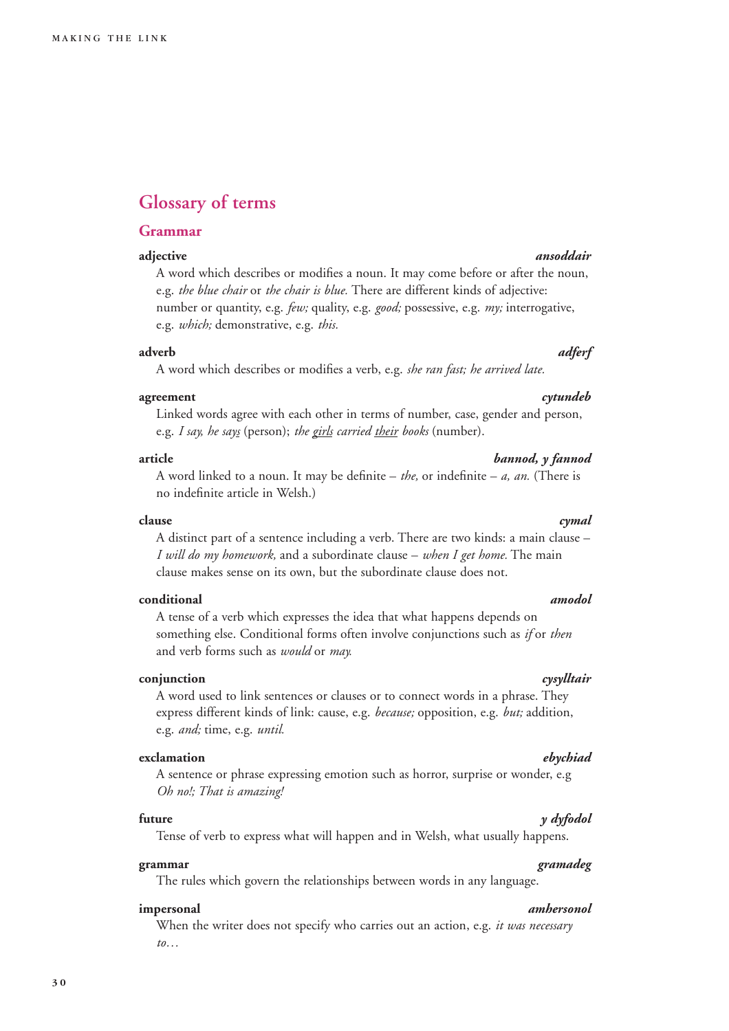# **Glossary of terms**

### **Grammar**

A word which describes or modifies a noun. It may come before or after the noun, e.g. *the blue chair* or *the chair is blue.* There are different kinds of adjective: number or quantity, e.g. *few;* quality, e.g. *good;* possessive, e.g. *my;* interrogative, e.g. *which;* demonstrative, e.g. *this.*

### **adverb** *adferf*

A word which describes or modifies a verb, e.g. *she ran fast; he arrived late.*

### **agreement** *cytundeb*

Linked words agree with each other in terms of number, case, gender and person, e.g. *I say, he says* (person); *the girls carried their books* (number).

### **article** *bannod, y fannod*

A word linked to a noun. It may be definite – *the,* or indefinite – *a, an.* (There is no indefinite article in Welsh.)

### **clause** *cymal*

A distinct part of a sentence including a verb. There are two kinds: a main clause – *I will do my homework,* and a subordinate clause – *when I get home.* The main clause makes sense on its own, but the subordinate clause does not.

### **conditional** *amodol*

A tense of a verb which expresses the idea that what happens depends on something else. Conditional forms often involve conjunctions such as *if* or *then* and verb forms such as *would* or *may.*

### **conjunction** *cysylltair*

A word used to link sentences or clauses or to connect words in a phrase. They express different kinds of link: cause, e.g. *because;* opposition, e.g. *but;* addition, e.g. *and;* time, e.g. *until.*

### **exclamation** *ebychiad*

A sentence or phrase expressing emotion such as horror, surprise or wonder, e.g *Oh no!; That is amazing!*

### **future** *y dyfodol*

Tense of verb to express what will happen and in Welsh, what usually happens.

### **grammar** *gramadeg*

The rules which govern the relationships between words in any language.

### **impersonal** *amhersonol*

When the writer does not specify who carries out an action, e.g. *it was necessary to…*

# **adjective** *ansoddair*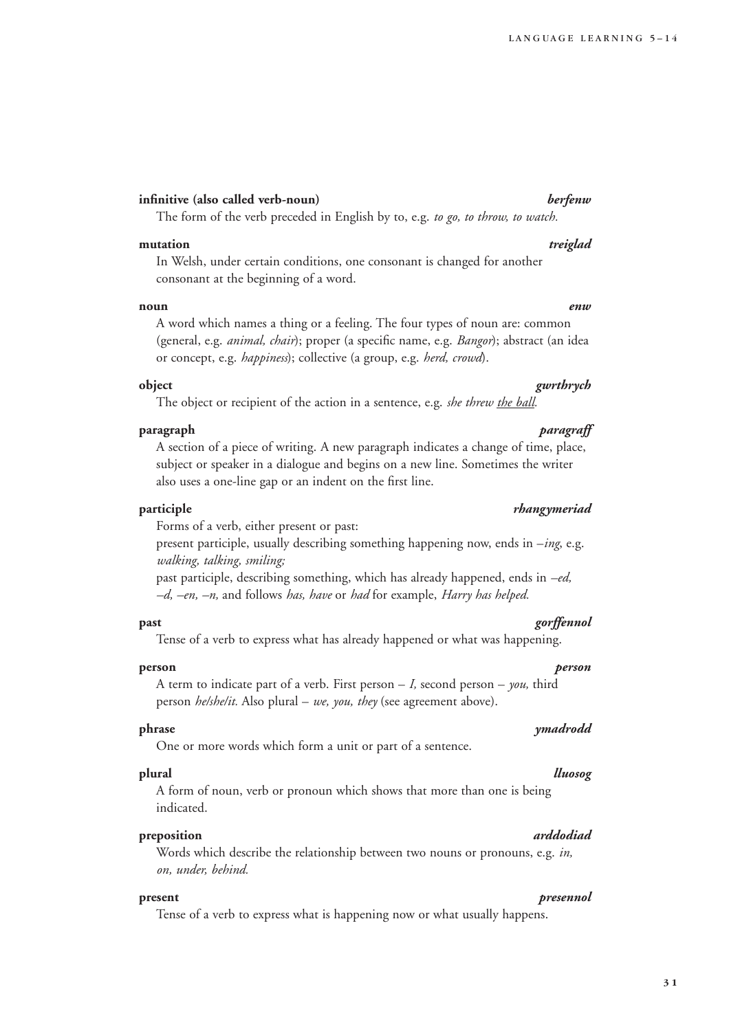### **infinitive (also called verb-noun)** *berfenw*

The form of the verb preceded in English by to, e.g. *to go, to throw, to watch.*

### **mutation** *treiglad*

In Welsh, under certain conditions, one consonant is changed for another consonant at the beginning of a word.

### **noun** *enw*

A word which names a thing or a feeling. The four types of noun are: common (general, e.g. *animal, chair*); proper (a specific name, e.g. *Bangor*); abstract (an idea or concept, e.g. *happiness*); collective (a group, e.g. *herd, crowd*).

### **object** *gwrthrych*

The object or recipient of the action in a sentence, e.g. *she threw the ball*.

### **paragraph** *paragraff*

A section of a piece of writing. A new paragraph indicates a change of time, place, subject or speaker in a dialogue and begins on a new line. Sometimes the writer also uses a one-line gap or an indent on the first line.

Forms of a verb, either present or past:

present participle, usually describing something happening now, ends in –*ing*, e.g. *walking, talking, smiling;*

past participle, describing something, which has already happened, ends in *–ed, –d, –en, –n,* and follows *has, have* or *had* for example, *Harry has helped.*

**past** *gorffennol*

Tense of a verb to express what has already happened or what was happening.

### **person** *person*

A term to indicate part of a verb. First person – *I,* second person – *you,* third person *he/she/it.* Also plural – *we, you, they* (see agreement above).

### **phrase** *ymadrodd*

One or more words which form a unit or part of a sentence.

### **plural** *lluosog*

A form of noun, verb or pronoun which shows that more than one is being indicated.

### **preposition** *arddodiad*

Words which describe the relationship between two nouns or pronouns, e.g. *in, on, under, behind.*

### **present** *presennol*

Tense of a verb to express what is happening now or what usually happens.

### **participle** *rhangymeriad*

### **3 1**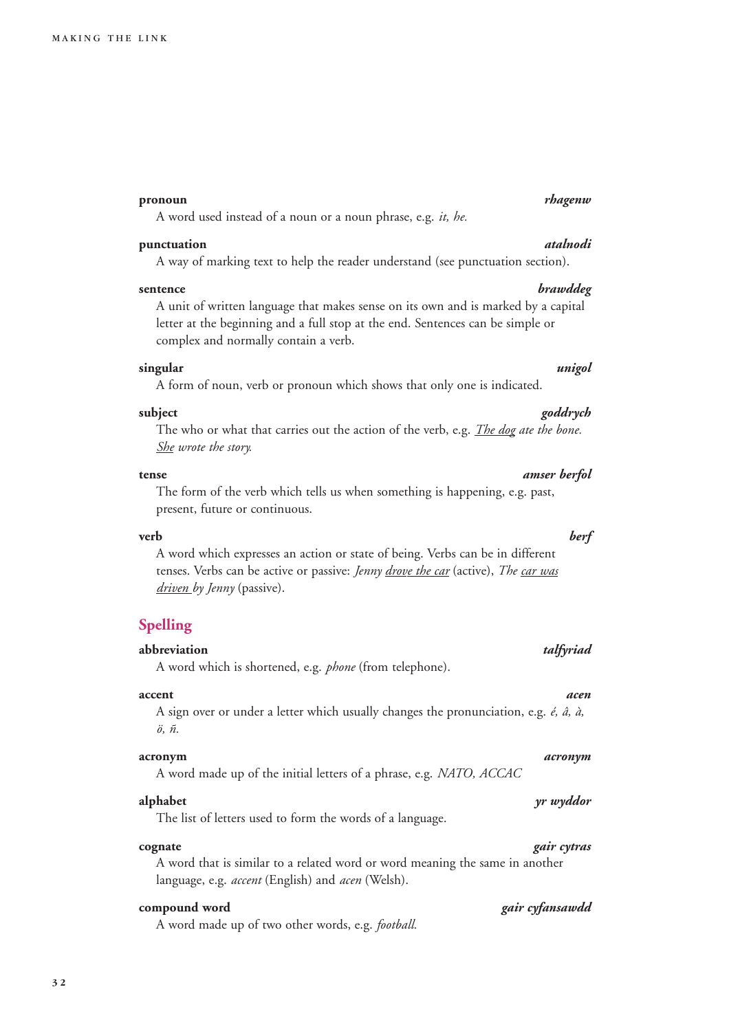### **pronoun** *rhagenw*

A word used instead of a noun or a noun phrase, e.g. *it, he.*

### **punctuation** *atalnodi*

A way of marking text to help the reader understand (see punctuation section).

### **sentence** *brawddeg*

A unit of written language that makes sense on its own and is marked by a capital letter at the beginning and a full stop at the end. Sentences can be simple or complex and normally contain a verb.

### **singular** *unigol*

A form of noun, verb or pronoun which shows that only one is indicated.

### **subject** *goddrych*

The who or what that carries out the action of the verb, e.g. *The dog ate the bone. She wrote the story.*

The form of the verb which tells us when something is happening, e.g. past, present, future or continuous.

### **verb** *berf*

A word which expresses an action or state of being. Verbs can be in different tenses. Verbs can be active or passive: *Jenny drove the car* (active), *The car was driven by Jenny* (passive).

### **Spelling**

**abbreviation** *talfyriad* A word which is shortened, e.g. *phone* (from telephone).

### **accent** *acen*

A sign over or under a letter which usually changes the pronunciation, e.g. *é, â, à, ö, ñ.*

### **acronym** *acronym*

A word made up of the initial letters of a phrase, e.g. *NATO, ACCAC*

The list of letters used to form the words of a language.

A word that is similar to a related word or word meaning the same in another language, e.g. *accent* (English) and *acen* (Welsh).

A word made up of two other words, e.g. *football.*

### **tense** *amser berfol*

### **alphabet** *yr wyddor*

# **cognate** *gair cytras*

### **compound word** *gair cyfansawdd*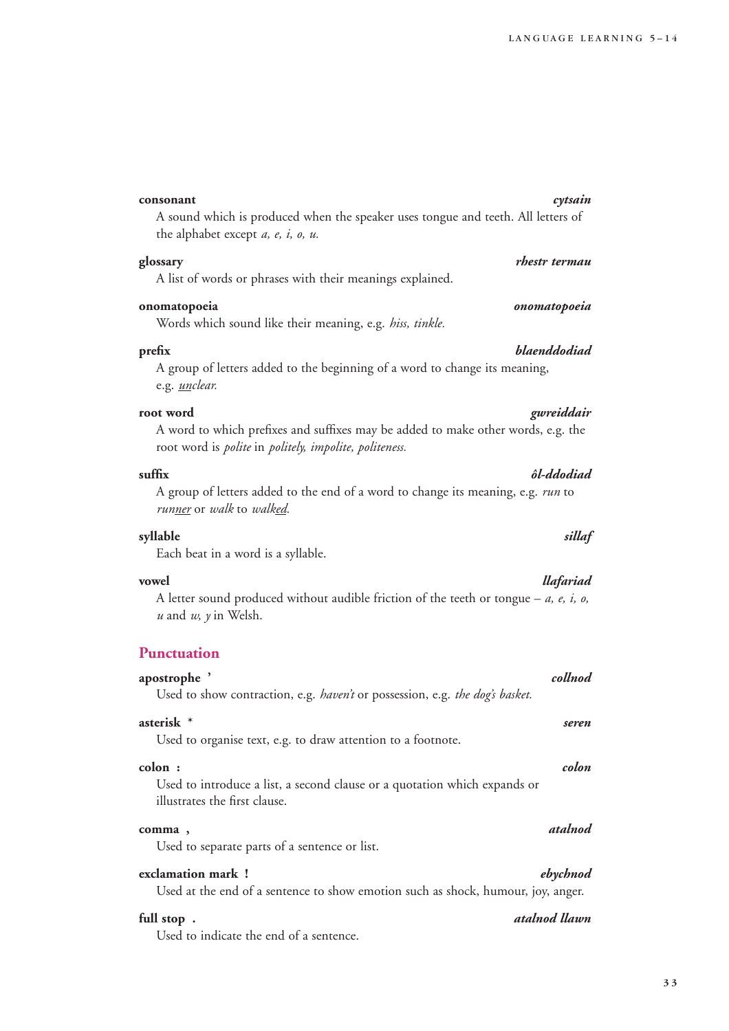# the alphabet except *a, e, i, o, u.* **glossary** *rhestr termau* A list of words or phrases with their meanings explained. **onomatopoeia** *onomatopoeia* Words which sound like their meaning, e.g. *hiss, tinkle.* **prefix** *blaenddodiad* A group of letters added to the beginning of a word to change its meaning, **root word** *gwreiddair* A word to which prefixes and suffixes may be added to make other words, e.g. the root word is *polite* in *politely, impolite, politeness.* **suffix** *ôl-ddodiad*

A group of letters added to the end of a word to change its meaning, e.g. *run* to *runner* or *walk* to *walked.*

### **syllable** *sillaf*

e.g. *unclear.*

Each beat in a word is a syllable.

A letter sound produced without audible friction of the teeth or tongue – *a, e, i, o, u* and *w, y* in Welsh.

### **Punctuation**

# **apostrophe '** *collnod* Used to show contraction, e.g. *haven't* or possession, e.g. *the dog's basket.* **asterisk \*** *seren* Used to organise text, e.g. to draw attention to a footnote. **colon :** *colon* Used to introduce a list, a second clause or a quotation which expands or illustrates the first clause. **comma ,** *atalnod* Used to separate parts of a sentence or list. **exclamation mark !** *ebychnod* Used at the end of a sentence to show emotion such as shock, humour, joy, anger.

### **full stop .** *atalnod llawn*

Used to indicate the end of a sentence.

### **consonant** *cytsain* A sound which is produced when the speaker uses tongue and teeth. All letters of

### **vowel** *llafariad*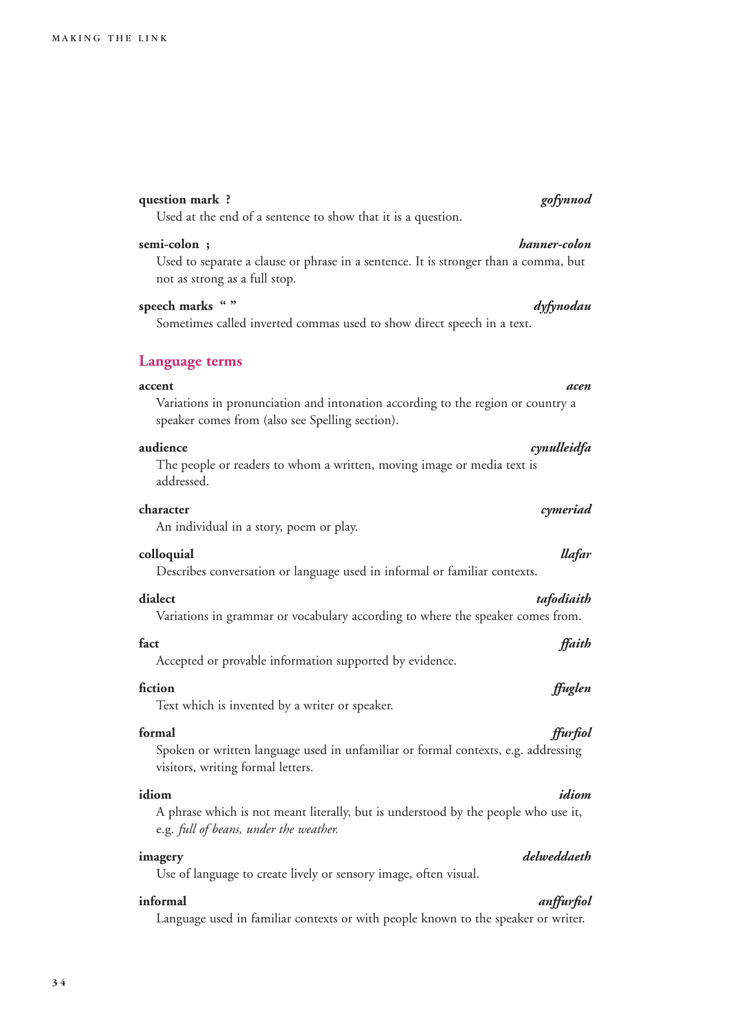### **question mark ?** *gofynnod*

Used at the end of a sentence to show that it is a question.

### **semi-colon ;** *hanner-colon*

### Used to separate a clause or phrase in a sentence. It is stronger than a comma, but not as strong as a full stop.

**speech marks " "** *dyfynodau* Sometimes called inverted commas used to show direct speech in a text.

### **Language terms**

### **accent** *acen*

Variations in pronunciation and intonation according to the region or country a speaker comes from (also see Spelling section).

### **audience** *cynulleidfa*

The people or readers to whom a written, moving image or media text is addressed.

### **character** *cymeriad*

An individual in a story, poem or play.

### **colloquial** *llafar*

Describes conversation or language used in informal or familiar contexts.

Variations in grammar or vocabulary according to where the speaker comes from.

Accepted or provable information supported by evidence.

Text which is invented by a writer or speaker.

Spoken or written language used in unfamiliar or formal contexts, e.g. addressing visitors, writing formal letters.

### **idiom** *idiom*

A phrase which is not meant literally, but is understood by the people who use it, e.g. *full of beans, under the weather.*

Use of language to create lively or sensory image, often visual.

### **informal** *anffurfiol*

Language used in familiar contexts or with people known to the speaker or writer.

### **dialect** *tafodiaith*

# **fact** *ffaith*

### **fiction** *ffuglen*

# **formal** *ffurfiol*

### **imagery** *delweddaeth*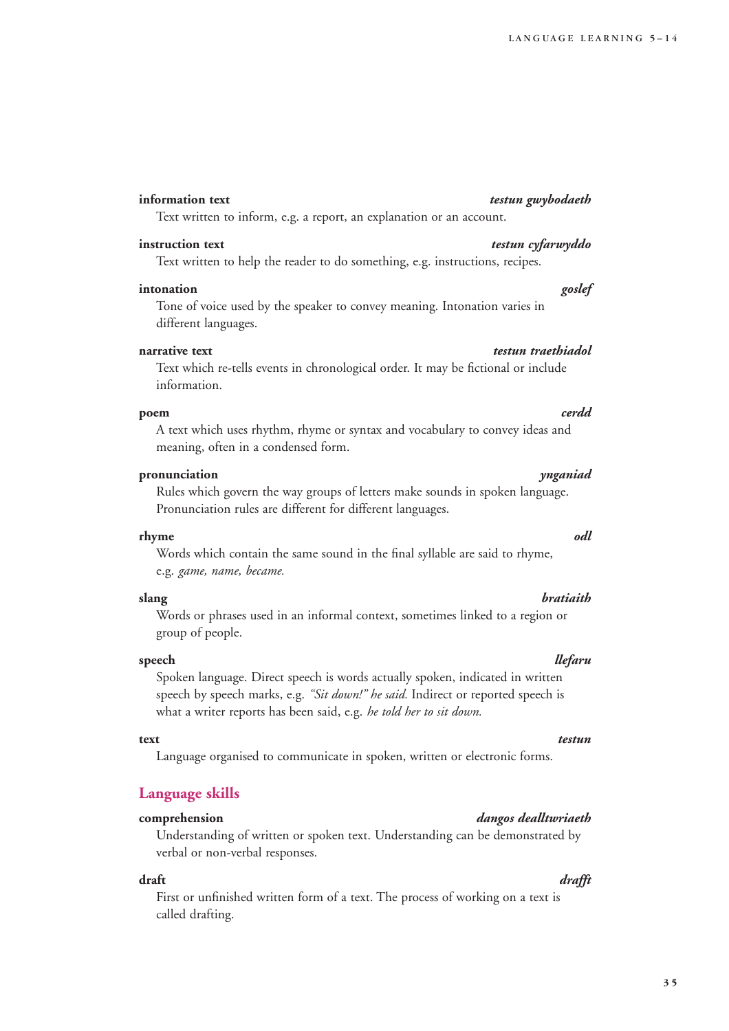### **information text** *testun gwybodaeth*

Text written to inform, e.g. a report, an explanation or an account.

### **instruction text** *testun cyfarwyddo*

Text written to help the reader to do something, e.g. instructions, recipes.

### **intonation** *goslef*

Tone of voice used by the speaker to convey meaning. Intonation varies in different languages.

### **narrative text** *testun traethiadol*

Text which re-tells events in chronological order. It may be fictional or include information.

### **poem** *cerdd*

A text which uses rhythm, rhyme or syntax and vocabulary to convey ideas and meaning, often in a condensed form.

### **pronunciation** *ynganiad*

Rules which govern the way groups of letters make sounds in spoken language. Pronunciation rules are different for different languages.

### **rhyme** *odl*

Words which contain the same sound in the final syllable are said to rhyme, e.g. *game, name, became.*

Words or phrases used in an informal context, sometimes linked to a region or group of people.

### **speech** *llefaru*

Spoken language. Direct speech is words actually spoken, indicated in written speech by speech marks, e.g. *"Sit down!" he said.* Indirect or reported speech is what a writer reports has been said, e.g. *he told her to sit down.*

### **text** *testun*

Language organised to communicate in spoken, written or electronic forms.

### **Language skills**

Understanding of written or spoken text. Understanding can be demonstrated by verbal or non-verbal responses.

First or unfinished written form of a text. The process of working on a text is called drafting.

### **comprehension** *dangos dealltwriaeth*

### **draft** *drafft*

### **slang** *bratiaith*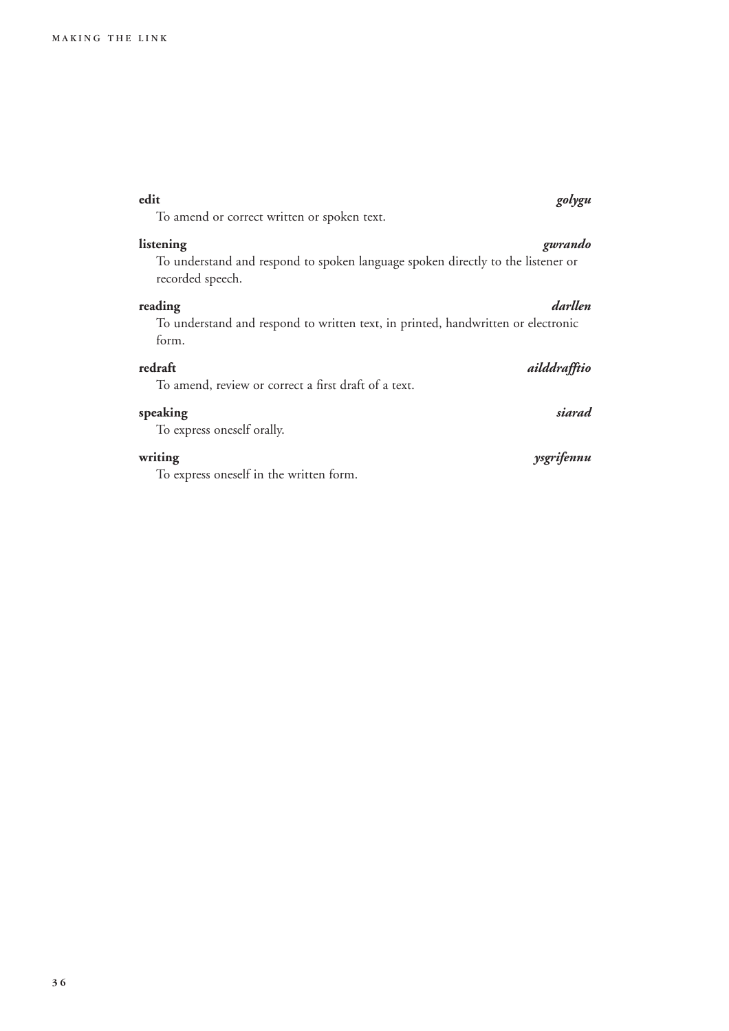| To amend or correct written or spoken text.                                                                      |              |
|------------------------------------------------------------------------------------------------------------------|--------------|
| listening<br>To understand and respond to spoken language spoken directly to the listener or<br>recorded speech. | gwrando      |
| reading<br>To understand and respond to written text, in printed, handwritten or electronic<br>form.             | darllen      |
| redraft<br>To amend, review or correct a first draft of a text.                                                  | ailddrafftio |
| speaking<br>To express oneself orally.                                                                           | siarad       |
| writing<br>To express oneself in the written form.                                                               | ysgrifennu   |

**edit** *golygu*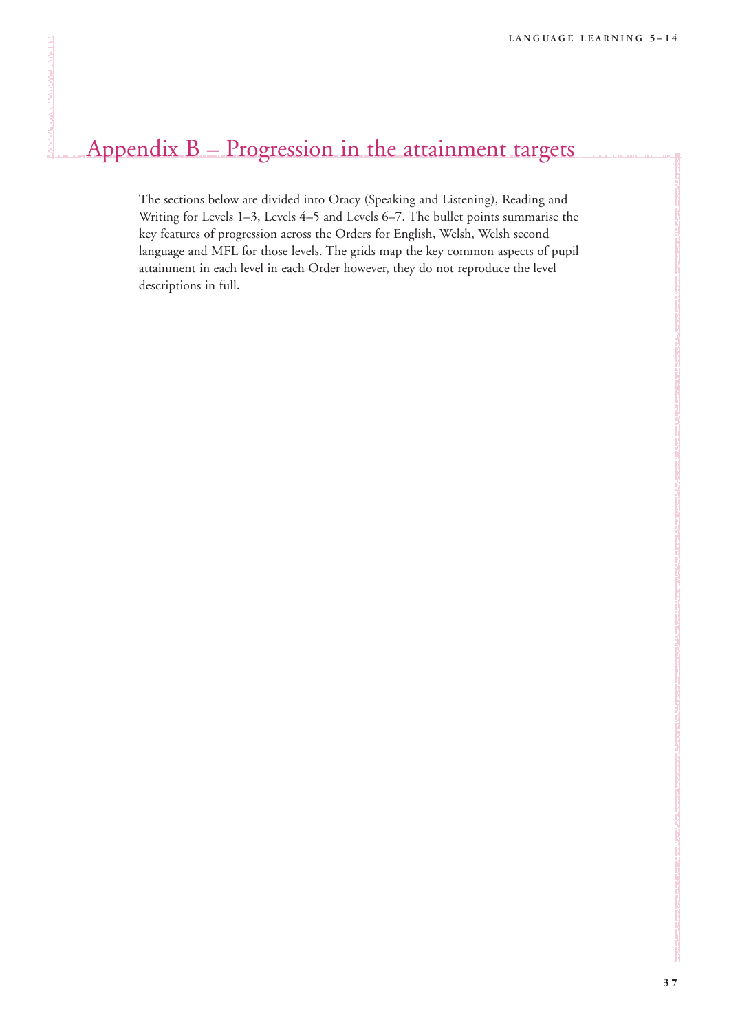# Appendix B – Progression in the attainment targets

The sections below are divided into Oracy (Speaking and Listening), Reading and Writing for Levels 1–3, Levels 4–5 and Levels 6–7. The bullet points summarise the key features of progression across the Orders for English, Welsh, Welsh second language and MFL for those levels. The grids map the key common aspects of pupil attainment in each level in each Order however, they do not reproduce the level descriptions in full.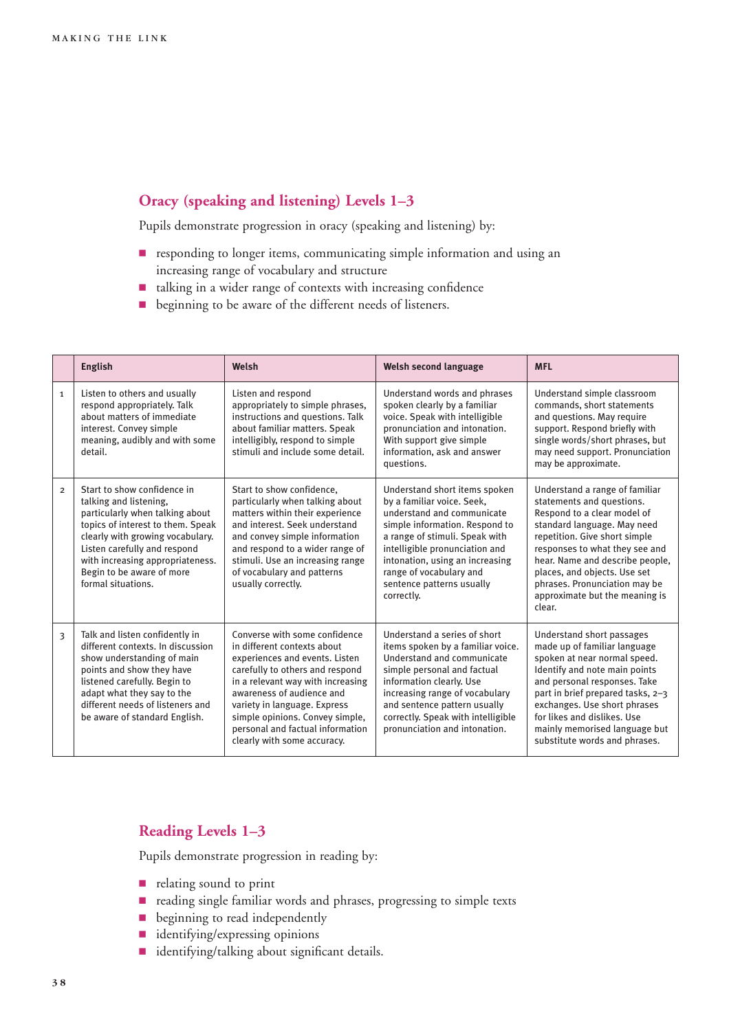### **Oracy (speaking and listening) Levels 1–3**

Pupils demonstrate progression in oracy (speaking and listening) by:

- **P** responding to longer items, communicating simple information and using an increasing range of vocabulary and structure
- 9 talking in a wider range of contexts with increasing confidence
- **•** beginning to be aware of the different needs of listeners.

|                         | <b>English</b>                                                                                                                                                                                                                                                                           | Welsh                                                                                                                                                                                                                                                                                                                                     | <b>Welsh second language</b>                                                                                                                                                                                                                                                                             | <b>MFL</b>                                                                                                                                                                                                                                                                                                                                   |
|-------------------------|------------------------------------------------------------------------------------------------------------------------------------------------------------------------------------------------------------------------------------------------------------------------------------------|-------------------------------------------------------------------------------------------------------------------------------------------------------------------------------------------------------------------------------------------------------------------------------------------------------------------------------------------|----------------------------------------------------------------------------------------------------------------------------------------------------------------------------------------------------------------------------------------------------------------------------------------------------------|----------------------------------------------------------------------------------------------------------------------------------------------------------------------------------------------------------------------------------------------------------------------------------------------------------------------------------------------|
| $\mathbf{1}$            | Listen to others and usually<br>respond appropriately. Talk<br>about matters of immediate<br>interest. Convey simple<br>meaning, audibly and with some<br>detail.                                                                                                                        | Listen and respond<br>appropriately to simple phrases,<br>instructions and questions. Talk<br>about familiar matters. Speak<br>intelligibly, respond to simple<br>stimuli and include some detail.                                                                                                                                        | Understand words and phrases<br>spoken clearly by a familiar<br>voice. Speak with intelligible<br>pronunciation and intonation.<br>With support give simple<br>information, ask and answer<br>questions.                                                                                                 | Understand simple classroom<br>commands, short statements<br>and questions. May require<br>support. Respond briefly with<br>single words/short phrases, but<br>may need support. Pronunciation<br>may be approximate.                                                                                                                        |
| $\overline{2}$          | Start to show confidence in<br>talking and listening,<br>particularly when talking about<br>topics of interest to them. Speak<br>clearly with growing vocabulary.<br>Listen carefully and respond<br>with increasing appropriateness.<br>Begin to be aware of more<br>formal situations. | Start to show confidence.<br>particularly when talking about<br>matters within their experience<br>and interest. Seek understand<br>and convey simple information<br>and respond to a wider range of<br>stimuli. Use an increasing range<br>of vocabulary and patterns<br>usually correctly.                                              | Understand short items spoken<br>by a familiar voice. Seek,<br>understand and communicate<br>simple information. Respond to<br>a range of stimuli. Speak with<br>intelligible pronunciation and<br>intonation, using an increasing<br>range of vocabulary and<br>sentence patterns usually<br>correctly. | Understand a range of familiar<br>statements and questions.<br>Respond to a clear model of<br>standard language. May need<br>repetition. Give short simple<br>responses to what they see and<br>hear. Name and describe people,<br>places, and objects. Use set<br>phrases. Pronunciation may be<br>approximate but the meaning is<br>clear. |
| $\overline{\mathbf{3}}$ | Talk and listen confidently in<br>different contexts. In discussion<br>show understanding of main<br>points and show they have<br>listened carefully. Begin to<br>adapt what they say to the<br>different needs of listeners and<br>be aware of standard English.                        | Converse with some confidence<br>in different contexts about<br>experiences and events. Listen<br>carefully to others and respond<br>in a relevant way with increasing<br>awareness of audience and<br>variety in language. Express<br>simple opinions. Convey simple,<br>personal and factual information<br>clearly with some accuracy. | Understand a series of short<br>items spoken by a familiar voice.<br>Understand and communicate<br>simple personal and factual<br>information clearly. Use<br>increasing range of vocabulary<br>and sentence pattern usually<br>correctly. Speak with intelligible<br>pronunciation and intonation.      | Understand short passages<br>made up of familiar language<br>spoken at near normal speed.<br>Identify and note main points<br>and personal responses. Take<br>part in brief prepared tasks, 2-3<br>exchanges. Use short phrases<br>for likes and dislikes. Use<br>mainly memorised language but<br>substitute words and phrases.             |

### **Reading Levels 1–3**

Pupils demonstrate progression in reading by:

- **P** relating sound to print
- 9 reading single familiar words and phrases, progressing to simple texts
- **•** beginning to read independently
- **dentifying/expressing opinions**
- $\blacksquare$  identifying/talking about significant details.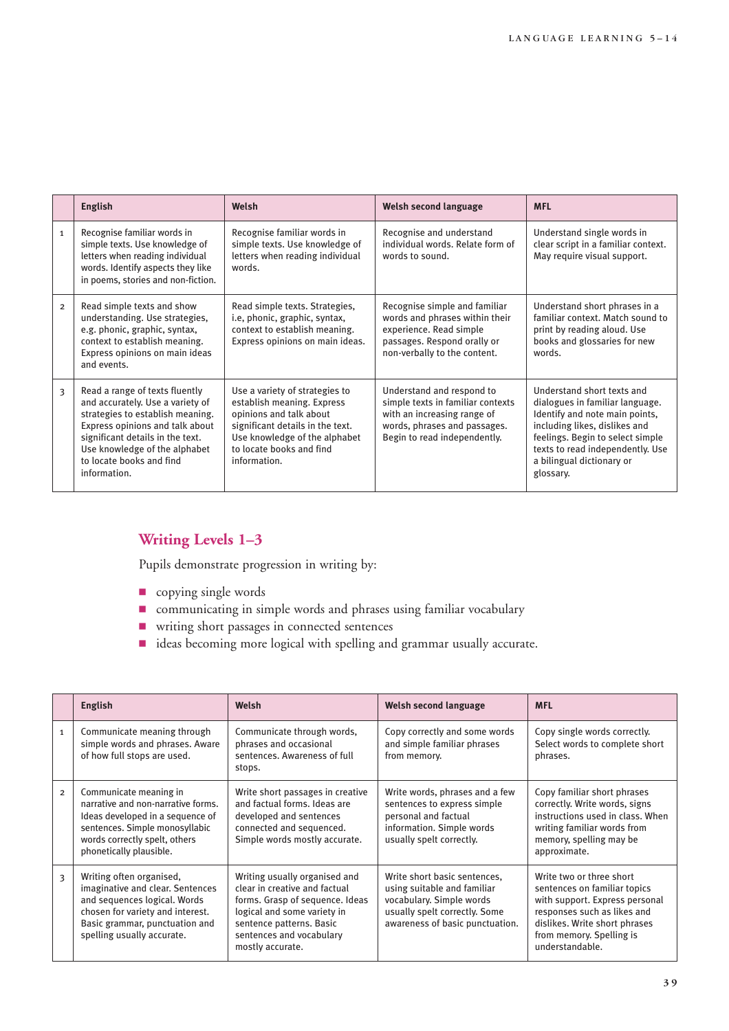|                | <b>English</b>                                                                                                                                                                                                                                             | Welsh                                                                                                                                                                                                    | Welsh second language                                                                                                                                         | <b>MFL</b>                                                                                                                                                                                                                                         |
|----------------|------------------------------------------------------------------------------------------------------------------------------------------------------------------------------------------------------------------------------------------------------------|----------------------------------------------------------------------------------------------------------------------------------------------------------------------------------------------------------|---------------------------------------------------------------------------------------------------------------------------------------------------------------|----------------------------------------------------------------------------------------------------------------------------------------------------------------------------------------------------------------------------------------------------|
| $\mathbf{1}$   | Recognise familiar words in<br>simple texts. Use knowledge of<br>letters when reading individual<br>words. Identify aspects they like<br>in poems, stories and non-fiction.                                                                                | Recognise familiar words in<br>simple texts. Use knowledge of<br>letters when reading individual<br>words.                                                                                               | Recognise and understand<br>individual words. Relate form of<br>words to sound.                                                                               | Understand single words in<br>clear script in a familiar context.<br>May require visual support.                                                                                                                                                   |
| $\overline{2}$ | Read simple texts and show<br>understanding. Use strategies,<br>e.g. phonic, graphic, syntax,<br>context to establish meaning.<br>Express opinions on main ideas<br>and events.                                                                            | Read simple texts. Strategies,<br>i.e, phonic, graphic, syntax,<br>context to establish meaning.<br>Express opinions on main ideas.                                                                      | Recognise simple and familiar<br>words and phrases within their<br>experience. Read simple<br>passages. Respond orally or<br>non-verbally to the content.     | Understand short phrases in a<br>familiar context. Match sound to<br>print by reading aloud. Use<br>books and glossaries for new<br>words.                                                                                                         |
| 3              | Read a range of texts fluently<br>and accurately. Use a variety of<br>strategies to establish meaning.<br>Express opinions and talk about<br>significant details in the text.<br>Use knowledge of the alphabet<br>to locate books and find<br>information. | Use a variety of strategies to<br>establish meaning. Express<br>opinions and talk about<br>significant details in the text.<br>Use knowledge of the alphabet<br>to locate books and find<br>information. | Understand and respond to<br>simple texts in familiar contexts<br>with an increasing range of<br>words, phrases and passages.<br>Begin to read independently. | Understand short texts and<br>dialogues in familiar language.<br>Identify and note main points,<br>including likes, dislikes and<br>feelings. Begin to select simple<br>texts to read independently. Use<br>a bilingual dictionary or<br>glossary. |

### **Writing Levels 1–3**

Pupils demonstrate progression in writing by:

- **D** copying single words
- 9 communicating in simple words and phrases using familiar vocabulary
- writing short passages in connected sentences
- 9 ideas becoming more logical with spelling and grammar usually accurate.

|                | <b>English</b>                                                                                                                                                                                   | Welsh                                                                                                                                                                                                        | Welsh second language                                                                                                                                       | <b>MFL</b>                                                                                                                                                                                                |
|----------------|--------------------------------------------------------------------------------------------------------------------------------------------------------------------------------------------------|--------------------------------------------------------------------------------------------------------------------------------------------------------------------------------------------------------------|-------------------------------------------------------------------------------------------------------------------------------------------------------------|-----------------------------------------------------------------------------------------------------------------------------------------------------------------------------------------------------------|
| $\mathbf{1}$   | Communicate meaning through<br>simple words and phrases. Aware<br>of how full stops are used.                                                                                                    | Communicate through words,<br>phrases and occasional<br>sentences. Awareness of full<br>stops.                                                                                                               | Copy correctly and some words<br>and simple familiar phrases<br>from memory.                                                                                | Copy single words correctly.<br>Select words to complete short<br>phrases.                                                                                                                                |
| $\overline{2}$ | Communicate meaning in<br>narrative and non-narrative forms.<br>Ideas developed in a sequence of<br>sentences. Simple monosyllabic<br>words correctly spelt, others<br>phonetically plausible.   | Write short passages in creative<br>and factual forms. Ideas are<br>developed and sentences<br>connected and sequenced.<br>Simple words mostly accurate.                                                     | Write words, phrases and a few<br>sentences to express simple<br>personal and factual<br>information. Simple words<br>usually spelt correctly.              | Copy familiar short phrases<br>correctly. Write words, signs<br>instructions used in class. When<br>writing familiar words from<br>memory, spelling may be<br>approximate.                                |
| 3              | Writing often organised,<br>imaginative and clear. Sentences<br>and sequences logical. Words<br>chosen for variety and interest.<br>Basic grammar, punctuation and<br>spelling usually accurate. | Writing usually organised and<br>clear in creative and factual<br>forms. Grasp of sequence. Ideas<br>logical and some variety in<br>sentence patterns. Basic<br>sentences and vocabulary<br>mostly accurate. | Write short basic sentences,<br>using suitable and familiar<br>vocabulary. Simple words<br>usually spelt correctly. Some<br>awareness of basic punctuation. | Write two or three short<br>sentences on familiar topics<br>with support. Express personal<br>responses such as likes and<br>dislikes. Write short phrases<br>from memory. Spelling is<br>understandable. |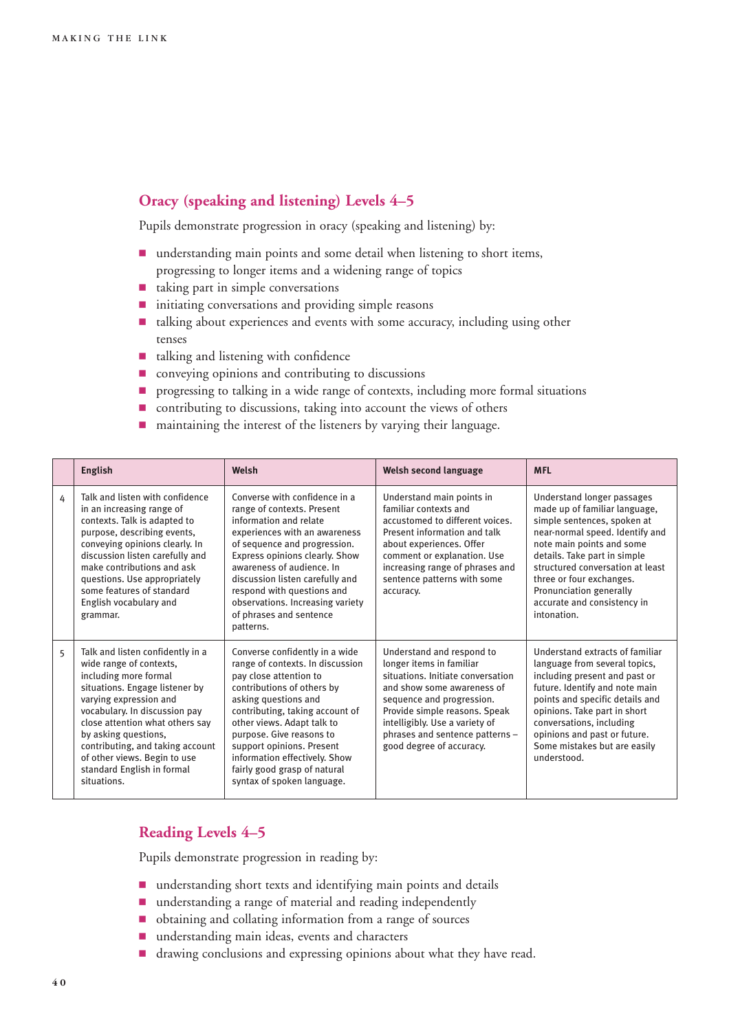### **Oracy (speaking and listening) Levels 4–5**

Pupils demonstrate progression in oracy (speaking and listening) by:

- $\blacksquare$  understanding main points and some detail when listening to short items, progressing to longer items and a widening range of topics
- $\blacksquare$  taking part in simple conversations
- $\blacksquare$  initiating conversations and providing simple reasons
- <sup>1</sup> talking about experiences and events with some accuracy, including using other tenses
- talking and listening with confidence
- $\blacksquare$  conveying opinions and contributing to discussions
- **P** progressing to talking in a wide range of contexts, including more formal situations
- $\blacksquare$  contributing to discussions, taking into account the views of others
- $\blacksquare$  maintaining the interest of the listeners by varying their language.

|   | English                                                                                                                                                                                                                                                                                                                                                       | Welsh                                                                                                                                                                                                                                                                                                                                                                       | Welsh second language                                                                                                                                                                                                                                                                   | <b>MFL</b>                                                                                                                                                                                                                                                                                                                          |
|---|---------------------------------------------------------------------------------------------------------------------------------------------------------------------------------------------------------------------------------------------------------------------------------------------------------------------------------------------------------------|-----------------------------------------------------------------------------------------------------------------------------------------------------------------------------------------------------------------------------------------------------------------------------------------------------------------------------------------------------------------------------|-----------------------------------------------------------------------------------------------------------------------------------------------------------------------------------------------------------------------------------------------------------------------------------------|-------------------------------------------------------------------------------------------------------------------------------------------------------------------------------------------------------------------------------------------------------------------------------------------------------------------------------------|
| 4 | Talk and listen with confidence<br>in an increasing range of<br>contexts. Talk is adapted to<br>purpose, describing events,<br>conveying opinions clearly. In<br>discussion listen carefully and<br>make contributions and ask<br>questions. Use appropriately<br>some features of standard<br>English vocabulary and<br>grammar.                             | Converse with confidence in a<br>range of contexts. Present<br>information and relate<br>experiences with an awareness<br>of sequence and progression.<br>Express opinions clearly. Show<br>awareness of audience. In<br>discussion listen carefully and<br>respond with questions and<br>observations. Increasing variety<br>of phrases and sentence<br>patterns.          | Understand main points in<br>familiar contexts and<br>accustomed to different voices.<br>Present information and talk<br>about experiences. Offer<br>comment or explanation. Use<br>increasing range of phrases and<br>sentence patterns with some<br>accuracy.                         | Understand longer passages<br>made up of familiar language,<br>simple sentences, spoken at<br>near-normal speed. Identify and<br>note main points and some<br>details. Take part in simple<br>structured conversation at least<br>three or four exchanges.<br>Pronunciation generally<br>accurate and consistency in<br>intonation. |
| 5 | Talk and listen confidently in a<br>wide range of contexts,<br>including more formal<br>situations. Engage listener by<br>varying expression and<br>vocabulary. In discussion pay<br>close attention what others say<br>by asking questions,<br>contributing, and taking account<br>of other views. Begin to use<br>standard English in formal<br>situations. | Converse confidently in a wide<br>range of contexts. In discussion<br>pay close attention to<br>contributions of others by<br>asking questions and<br>contributing, taking account of<br>other views. Adapt talk to<br>purpose. Give reasons to<br>support opinions. Present<br>information effectively. Show<br>fairly good grasp of natural<br>syntax of spoken language. | Understand and respond to<br>longer items in familiar<br>situations. Initiate conversation<br>and show some awareness of<br>sequence and progression.<br>Provide simple reasons. Speak<br>intelligibly. Use a variety of<br>phrases and sentence patterns -<br>good degree of accuracy. | Understand extracts of familiar<br>language from several topics,<br>including present and past or<br>future. Identify and note main<br>points and specific details and<br>opinions. Take part in short<br>conversations, including<br>opinions and past or future.<br>Some mistakes but are easily<br>understood.                   |

### **Reading Levels 4–5**

Pupils demonstrate progression in reading by:

- **I** understanding short texts and identifying main points and details
- $\blacksquare$  understanding a range of material and reading independently
- obtaining and collating information from a range of sources
- **n** understanding main ideas, events and characters
- drawing conclusions and expressing opinions about what they have read.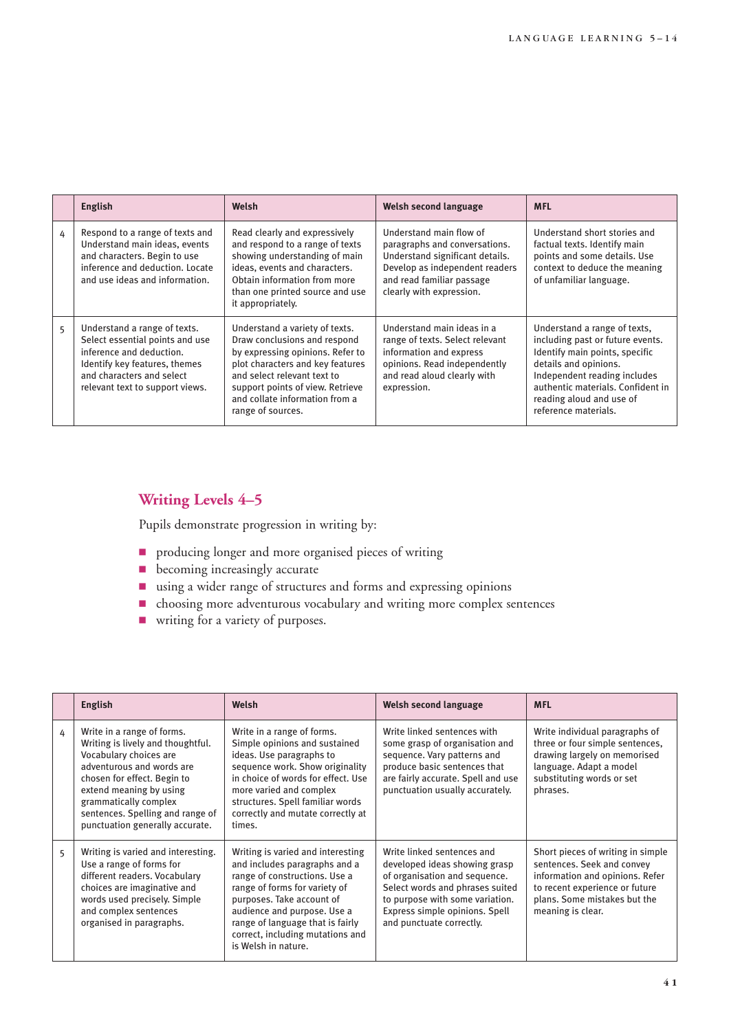|   | English                                                                                                                                                                                      | Welsh                                                                                                                                                                                                                                                            | <b>Welsh second language</b>                                                                                                                                                           | <b>MFL</b>                                                                                                                                                                                                                                           |
|---|----------------------------------------------------------------------------------------------------------------------------------------------------------------------------------------------|------------------------------------------------------------------------------------------------------------------------------------------------------------------------------------------------------------------------------------------------------------------|----------------------------------------------------------------------------------------------------------------------------------------------------------------------------------------|------------------------------------------------------------------------------------------------------------------------------------------------------------------------------------------------------------------------------------------------------|
| 4 | Respond to a range of texts and<br>Understand main ideas, events<br>and characters. Begin to use<br>inference and deduction. Locate<br>and use ideas and information.                        | Read clearly and expressively<br>and respond to a range of texts<br>showing understanding of main<br>ideas, events and characters.<br>Obtain information from more<br>than one printed source and use<br>it appropriately.                                       | Understand main flow of<br>paragraphs and conversations.<br>Understand significant details.<br>Develop as independent readers<br>and read familiar passage<br>clearly with expression. | Understand short stories and<br>factual texts. Identify main<br>points and some details. Use<br>context to deduce the meaning<br>of unfamiliar language.                                                                                             |
| 5 | Understand a range of texts.<br>Select essential points and use<br>inference and deduction.<br>Identify key features, themes<br>and characters and select<br>relevant text to support views. | Understand a variety of texts.<br>Draw conclusions and respond<br>by expressing opinions. Refer to<br>plot characters and key features<br>and select relevant text to<br>support points of view. Retrieve<br>and collate information from a<br>range of sources. | Understand main ideas in a<br>range of texts. Select relevant<br>information and express<br>opinions. Read independently<br>and read aloud clearly with<br>expression.                 | Understand a range of texts,<br>including past or future events.<br>Identify main points, specific<br>details and opinions.<br>Independent reading includes<br>authentic materials. Confident in<br>reading aloud and use of<br>reference materials. |

### **Writing Levels 4–5**

Pupils demonstrate progression in writing by:

- **P** producing longer and more organised pieces of writing
- **D** becoming increasingly accurate
- using a wider range of structures and forms and expressing opinions
- 9 choosing more adventurous vocabulary and writing more complex sentences
- **9** writing for a variety of purposes.

|   | <b>English</b>                                                                                                                                                                                                                                                                   | Welsh                                                                                                                                                                                                                                                                                           | Welsh second language                                                                                                                                                                                                            | <b>MFL</b>                                                                                                                                                                                |
|---|----------------------------------------------------------------------------------------------------------------------------------------------------------------------------------------------------------------------------------------------------------------------------------|-------------------------------------------------------------------------------------------------------------------------------------------------------------------------------------------------------------------------------------------------------------------------------------------------|----------------------------------------------------------------------------------------------------------------------------------------------------------------------------------------------------------------------------------|-------------------------------------------------------------------------------------------------------------------------------------------------------------------------------------------|
| 4 | Write in a range of forms.<br>Writing is lively and thoughtful.<br>Vocabulary choices are<br>adventurous and words are<br>chosen for effect. Begin to<br>extend meaning by using<br>grammatically complex<br>sentences. Spelling and range of<br>punctuation generally accurate. | Write in a range of forms.<br>Simple opinions and sustained<br>ideas. Use paragraphs to<br>sequence work. Show originality<br>in choice of words for effect. Use<br>more varied and complex<br>structures. Spell familiar words<br>correctly and mutate correctly at<br>times.                  | Write linked sentences with<br>some grasp of organisation and<br>sequence. Vary patterns and<br>produce basic sentences that<br>are fairly accurate. Spell and use<br>punctuation usually accurately.                            | Write individual paragraphs of<br>three or four simple sentences,<br>drawing largely on memorised<br>language. Adapt a model<br>substituting words or set<br>phrases.                     |
| 5 | Writing is varied and interesting.<br>Use a range of forms for<br>different readers. Vocabulary<br>choices are imaginative and<br>words used precisely. Simple<br>and complex sentences<br>organised in paragraphs.                                                              | Writing is varied and interesting<br>and includes paragraphs and a<br>range of constructions. Use a<br>range of forms for variety of<br>purposes. Take account of<br>audience and purpose. Use a<br>range of language that is fairly<br>correct, including mutations and<br>is Welsh in nature. | Write linked sentences and<br>developed ideas showing grasp<br>of organisation and sequence.<br>Select words and phrases suited<br>to purpose with some variation.<br>Express simple opinions. Spell<br>and punctuate correctly. | Short pieces of writing in simple<br>sentences. Seek and convey<br>information and opinions. Refer<br>to recent experience or future<br>plans. Some mistakes but the<br>meaning is clear. |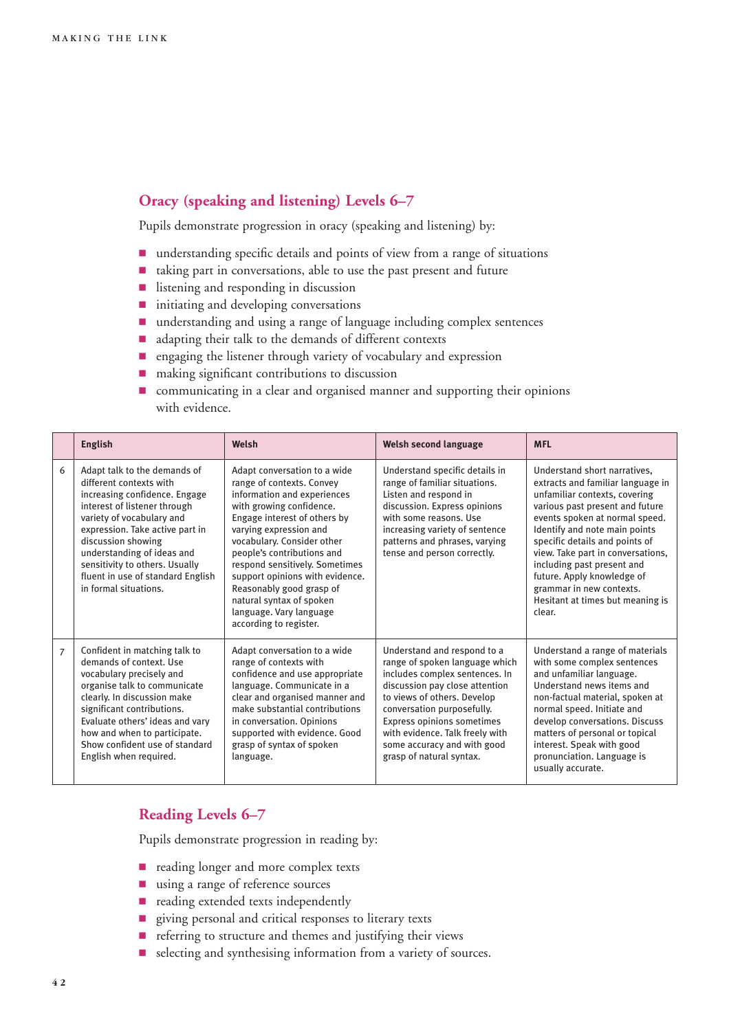### **Oracy (speaking and listening) Levels 6–7**

Pupils demonstrate progression in oracy (speaking and listening) by:

- $\blacksquare$  understanding specific details and points of view from a range of situations
- 9 taking part in conversations, able to use the past present and future
- **9** listening and responding in discussion
- $\blacksquare$  initiating and developing conversations
- $\blacksquare$  understanding and using a range of language including complex sentences
- adapting their talk to the demands of different contexts
- **P** engaging the listener through variety of vocabulary and expression
- **n** making significant contributions to discussion
- 9 communicating in a clear and organised manner and supporting their opinions with evidence.

|                | <b>English</b>                                                                                                                                                                                                                                                                                                                               | Welsh                                                                                                                                                                                                                                                                                                                                                                                                                        | Welsh second language                                                                                                                                                                                                                                                                                                      | <b>MFL</b>                                                                                                                                                                                                                                                                                                                                                                                                            |
|----------------|----------------------------------------------------------------------------------------------------------------------------------------------------------------------------------------------------------------------------------------------------------------------------------------------------------------------------------------------|------------------------------------------------------------------------------------------------------------------------------------------------------------------------------------------------------------------------------------------------------------------------------------------------------------------------------------------------------------------------------------------------------------------------------|----------------------------------------------------------------------------------------------------------------------------------------------------------------------------------------------------------------------------------------------------------------------------------------------------------------------------|-----------------------------------------------------------------------------------------------------------------------------------------------------------------------------------------------------------------------------------------------------------------------------------------------------------------------------------------------------------------------------------------------------------------------|
| 6              | Adapt talk to the demands of<br>different contexts with<br>increasing confidence. Engage<br>interest of listener through<br>variety of vocabulary and<br>expression. Take active part in<br>discussion showing<br>understanding of ideas and<br>sensitivity to others. Usually<br>fluent in use of standard English<br>in formal situations. | Adapt conversation to a wide<br>range of contexts. Convey<br>information and experiences<br>with growing confidence.<br>Engage interest of others by<br>varying expression and<br>vocabulary. Consider other<br>people's contributions and<br>respond sensitively. Sometimes<br>support opinions with evidence.<br>Reasonably good grasp of<br>natural syntax of spoken<br>language. Vary language<br>according to register. | Understand specific details in<br>range of familiar situations.<br>Listen and respond in<br>discussion. Express opinions<br>with some reasons. Use<br>increasing variety of sentence<br>patterns and phrases, varying<br>tense and person correctly.                                                                       | Understand short narratives,<br>extracts and familiar language in<br>unfamiliar contexts, covering<br>various past present and future<br>events spoken at normal speed.<br>Identify and note main points<br>specific details and points of<br>view. Take part in conversations,<br>including past present and<br>future. Apply knowledge of<br>grammar in new contexts.<br>Hesitant at times but meaning is<br>clear. |
| $\overline{7}$ | Confident in matching talk to<br>demands of context. Use<br>vocabulary precisely and<br>organise talk to communicate<br>clearly. In discussion make<br>significant contributions.<br>Evaluate others' ideas and vary<br>how and when to participate.<br>Show confident use of standard<br>English when required.                             | Adapt conversation to a wide<br>range of contexts with<br>confidence and use appropriate<br>language. Communicate in a<br>clear and organised manner and<br>make substantial contributions<br>in conversation. Opinions<br>supported with evidence. Good<br>grasp of syntax of spoken<br>language.                                                                                                                           | Understand and respond to a<br>range of spoken language which<br>includes complex sentences. In<br>discussion pay close attention<br>to views of others. Develop<br>conversation purposefully.<br>Express opinions sometimes<br>with evidence. Talk freely with<br>some accuracy and with good<br>grasp of natural syntax. | Understand a range of materials<br>with some complex sentences<br>and unfamiliar language.<br>Understand news items and<br>non-factual material, spoken at<br>normal speed. Initiate and<br>develop conversations. Discuss<br>matters of personal or topical<br>interest. Speak with good<br>pronunciation. Language is<br>usually accurate.                                                                          |

### **Reading Levels 6–7**

Pupils demonstrate progression in reading by:

- **P** reading longer and more complex texts
- **1** using a range of reference sources
- $\blacksquare$  reading extended texts independently
- **9** giving personal and critical responses to literary texts
- **P** referring to structure and themes and justifying their views
- 9 selecting and synthesising information from a variety of sources.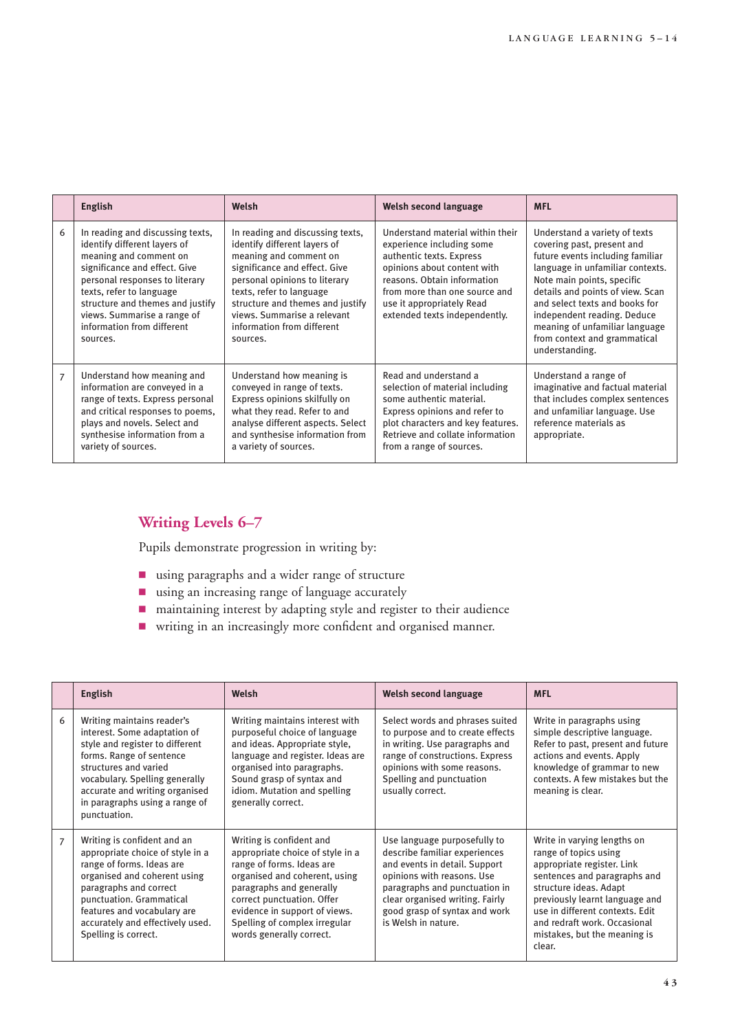|                | <b>English</b>                                                                                                                                                                                                                                                                                         | Welsh                                                                                                                                                                                                                                                                                                 | Welsh second language                                                                                                                                                                                                                                  | <b>MFL</b>                                                                                                                                                                                                                                                                                                                                                 |
|----------------|--------------------------------------------------------------------------------------------------------------------------------------------------------------------------------------------------------------------------------------------------------------------------------------------------------|-------------------------------------------------------------------------------------------------------------------------------------------------------------------------------------------------------------------------------------------------------------------------------------------------------|--------------------------------------------------------------------------------------------------------------------------------------------------------------------------------------------------------------------------------------------------------|------------------------------------------------------------------------------------------------------------------------------------------------------------------------------------------------------------------------------------------------------------------------------------------------------------------------------------------------------------|
| 6              | In reading and discussing texts,<br>identify different layers of<br>meaning and comment on<br>significance and effect. Give<br>personal responses to literary<br>texts, refer to language<br>structure and themes and justify<br>views. Summarise a range of<br>information from different<br>sources. | In reading and discussing texts,<br>identify different layers of<br>meaning and comment on<br>significance and effect. Give<br>personal opinions to literary<br>texts, refer to language<br>structure and themes and justify<br>views. Summarise a relevant<br>information from different<br>sources. | Understand material within their<br>experience including some<br>authentic texts. Express<br>opinions about content with<br>reasons. Obtain information<br>from more than one source and<br>use it appropriately Read<br>extended texts independently. | Understand a variety of texts<br>covering past, present and<br>future events including familiar<br>language in unfamiliar contexts.<br>Note main points, specific<br>details and points of view. Scan<br>and select texts and books for<br>independent reading. Deduce<br>meaning of unfamiliar language<br>from context and grammatical<br>understanding. |
| $\overline{7}$ | Understand how meaning and<br>information are conveyed in a<br>range of texts. Express personal<br>and critical responses to poems,<br>plays and novels. Select and<br>synthesise information from a<br>variety of sources.                                                                            | Understand how meaning is<br>conveyed in range of texts.<br>Express opinions skilfully on<br>what they read. Refer to and<br>analyse different aspects. Select<br>and synthesise information from<br>a variety of sources.                                                                            | Read and understand a<br>selection of material including<br>some authentic material.<br>Express opinions and refer to<br>plot characters and key features.<br>Retrieve and collate information<br>from a range of sources.                             | Understand a range of<br>imaginative and factual material<br>that includes complex sentences<br>and unfamiliar language. Use<br>reference materials as<br>appropriate.                                                                                                                                                                                     |

### **Writing Levels 6–7**

Pupils demonstrate progression in writing by:

- using paragraphs and a wider range of structure
- $\blacksquare$  using an increasing range of language accurately
- 9 maintaining interest by adapting style and register to their audience
- 9 writing in an increasingly more confident and organised manner.

|                | <b>English</b>                                                                                                                                                                                                                                                                | Welsh                                                                                                                                                                                                                                                                              | Welsh second language                                                                                                                                                                                                                                    | <b>MFL</b>                                                                                                                                                                                                                                                                                  |
|----------------|-------------------------------------------------------------------------------------------------------------------------------------------------------------------------------------------------------------------------------------------------------------------------------|------------------------------------------------------------------------------------------------------------------------------------------------------------------------------------------------------------------------------------------------------------------------------------|----------------------------------------------------------------------------------------------------------------------------------------------------------------------------------------------------------------------------------------------------------|---------------------------------------------------------------------------------------------------------------------------------------------------------------------------------------------------------------------------------------------------------------------------------------------|
| 6              | Writing maintains reader's<br>interest. Some adaptation of<br>style and register to different<br>forms. Range of sentence<br>structures and varied<br>vocabulary. Spelling generally<br>accurate and writing organised<br>in paragraphs using a range of<br>punctuation.      | Writing maintains interest with<br>purposeful choice of language<br>and ideas. Appropriate style,<br>language and register. Ideas are<br>organised into paragraphs.<br>Sound grasp of syntax and<br>idiom. Mutation and spelling<br>generally correct.                             | Select words and phrases suited<br>to purpose and to create effects<br>in writing. Use paragraphs and<br>range of constructions. Express<br>opinions with some reasons.<br>Spelling and punctuation<br>usually correct.                                  | Write in paragraphs using<br>simple descriptive language.<br>Refer to past, present and future<br>actions and events. Apply<br>knowledge of grammar to new<br>contexts. A few mistakes but the<br>meaning is clear.                                                                         |
| $\overline{7}$ | Writing is confident and an<br>appropriate choice of style in a<br>range of forms. Ideas are<br>organised and coherent using<br>paragraphs and correct<br>punctuation. Grammatical<br>features and vocabulary are<br>accurately and effectively used.<br>Spelling is correct. | Writing is confident and<br>appropriate choice of style in a<br>range of forms. Ideas are<br>organised and coherent, using<br>paragraphs and generally<br>correct punctuation. Offer<br>evidence in support of views.<br>Spelling of complex irregular<br>words generally correct. | Use language purposefully to<br>describe familiar experiences<br>and events in detail. Support<br>opinions with reasons. Use<br>paragraphs and punctuation in<br>clear organised writing. Fairly<br>good grasp of syntax and work<br>is Welsh in nature. | Write in varying lengths on<br>range of topics using<br>appropriate register. Link<br>sentences and paragraphs and<br>structure ideas. Adapt<br>previously learnt language and<br>use in different contexts. Edit<br>and redraft work. Occasional<br>mistakes, but the meaning is<br>clear. |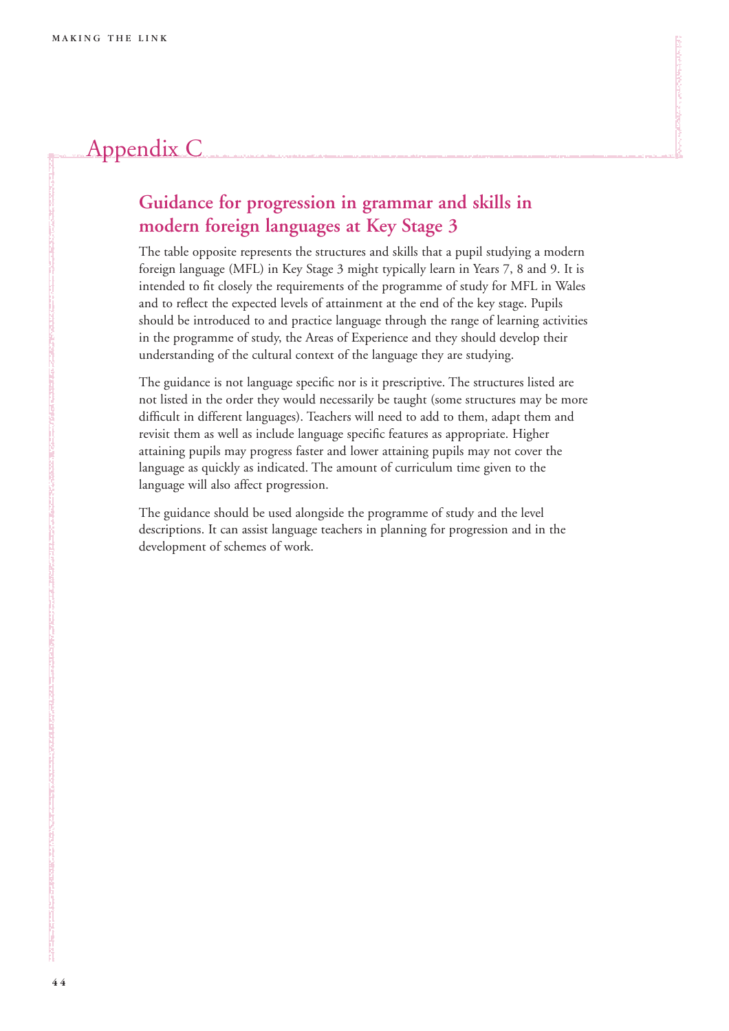# Appendix C

# **Guidance for progression in grammar and skills in modern foreign languages at Key Stage 3**

The table opposite represents the structures and skills that a pupil studying a modern foreign language (MFL) in Key Stage 3 might typically learn in Years 7, 8 and 9. It is intended to fit closely the requirements of the programme of study for MFL in Wales and to reflect the expected levels of attainment at the end of the key stage. Pupils should be introduced to and practice language through the range of learning activities in the programme of study, the Areas of Experience and they should develop their understanding of the cultural context of the language they are studying.

The guidance is not language specific nor is it prescriptive. The structures listed are not listed in the order they would necessarily be taught (some structures may be more difficult in different languages). Teachers will need to add to them, adapt them and revisit them as well as include language specific features as appropriate. Higher attaining pupils may progress faster and lower attaining pupils may not cover the language as quickly as indicated. The amount of curriculum time given to the language will also affect progression.

The guidance should be used alongside the programme of study and the level descriptions. It can assist language teachers in planning for progression and in the development of schemes of work.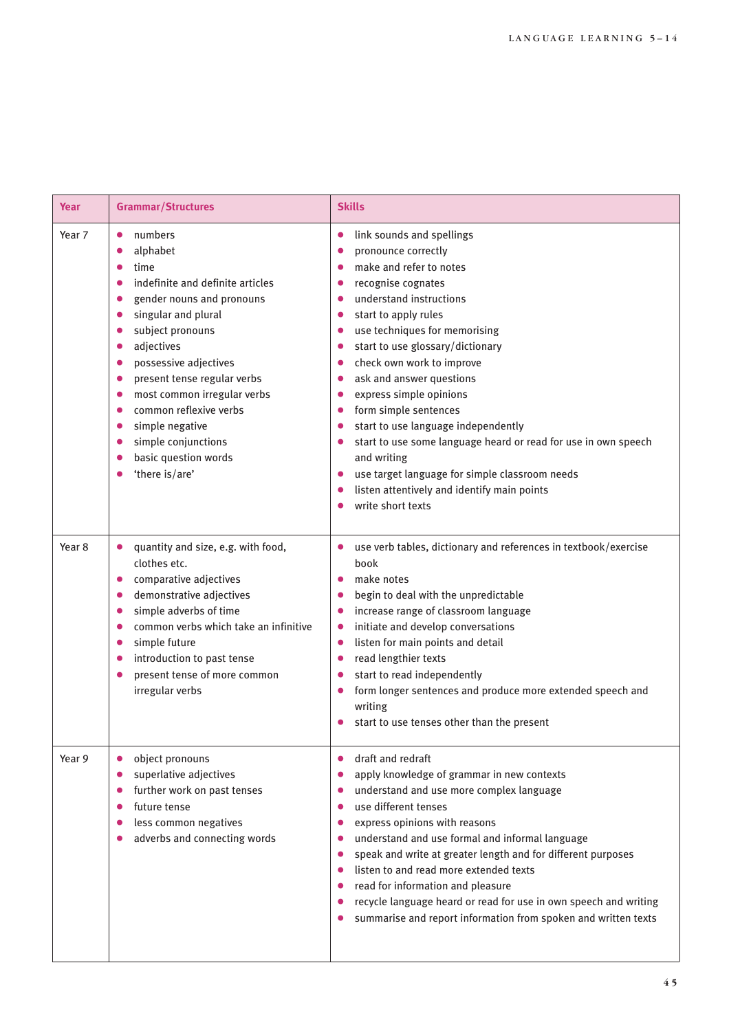| Year              | <b>Grammar/Structures</b>                                                                                                                                                                                                                                                                                                                                                                                                                                                                                                                                                  | <b>Skills</b>                                                                                                                                                                                                                                                                                                                                                                                                                                                                                                                                                                                                                                                                                                                                                                                             |
|-------------------|----------------------------------------------------------------------------------------------------------------------------------------------------------------------------------------------------------------------------------------------------------------------------------------------------------------------------------------------------------------------------------------------------------------------------------------------------------------------------------------------------------------------------------------------------------------------------|-----------------------------------------------------------------------------------------------------------------------------------------------------------------------------------------------------------------------------------------------------------------------------------------------------------------------------------------------------------------------------------------------------------------------------------------------------------------------------------------------------------------------------------------------------------------------------------------------------------------------------------------------------------------------------------------------------------------------------------------------------------------------------------------------------------|
| Year 7            | numbers<br>$\bullet$<br>alphabet<br>$\bullet$<br>time<br>$\bullet$<br>indefinite and definite articles<br>$\bullet$<br>gender nouns and pronouns<br>$\bullet$<br>singular and plural<br>$\bullet$<br>subject pronouns<br>$\bullet$<br>adjectives<br>$\bullet$<br>possessive adjectives<br>$\bullet$<br>present tense regular verbs<br>$\bullet$<br>most common irregular verbs<br>$\bullet$<br>common reflexive verbs<br>$\bullet$<br>simple negative<br>$\bullet$<br>simple conjunctions<br>$\bullet$<br>basic question words<br>$\bullet$<br>'there is/are'<br>$\bullet$ | link sounds and spellings<br>$\bullet$<br>pronounce correctly<br>$\bullet$<br>make and refer to notes<br>$\bullet$<br>recognise cognates<br>$\bullet$<br>understand instructions<br>٠<br>start to apply rules<br>$\bullet$<br>use techniques for memorising<br>$\bullet$<br>start to use glossary/dictionary<br>$\bullet$<br>check own work to improve<br>$\bullet$<br>ask and answer questions<br>$\bullet$<br>express simple opinions<br>$\bullet$<br>form simple sentences<br>$\bullet$<br>start to use language independently<br>$\bullet$<br>start to use some language heard or read for use in own speech<br>$\bullet$<br>and writing<br>use target language for simple classroom needs<br>$\bullet$<br>listen attentively and identify main points<br>$\bullet$<br>write short texts<br>$\bullet$ |
| Year <sub>8</sub> | quantity and size, e.g. with food,<br>$\bullet$<br>clothes etc.<br>comparative adjectives<br>$\bullet$<br>demonstrative adjectives<br>$\bullet$<br>simple adverbs of time<br>$\bullet$<br>common verbs which take an infinitive<br>$\bullet$<br>simple future<br>$\bullet$<br>introduction to past tense<br>$\bullet$<br>present tense of more common<br>$\bullet$<br>irregular verbs                                                                                                                                                                                      | use verb tables, dictionary and references in textbook/exercise<br>$\bullet$<br>book<br>make notes<br>$\bullet$<br>begin to deal with the unpredictable<br>$\bullet$<br>increase range of classroom language<br>$\bullet$<br>initiate and develop conversations<br>$\bullet$<br>listen for main points and detail<br>$\bullet$<br>read lengthier texts<br>٠<br>start to read independently<br>$\bullet$<br>form longer sentences and produce more extended speech and<br>$\bullet$<br>writing<br>start to use tenses other than the present                                                                                                                                                                                                                                                               |
| Year 9            | object pronouns<br>$\bullet$<br>superlative adjectives<br>$\bullet$<br>further work on past tenses<br>$\bullet$<br>future tense<br>$\bullet$<br>less common negatives<br>$\bullet$<br>adverbs and connecting words<br>$\bullet$                                                                                                                                                                                                                                                                                                                                            | draft and redraft<br>$\bullet$<br>apply knowledge of grammar in new contexts<br>$\bullet$<br>understand and use more complex language<br>٠<br>use different tenses<br>$\bullet$<br>express opinions with reasons<br>$\bullet$<br>understand and use formal and informal language<br>$\bullet$<br>speak and write at greater length and for different purposes<br>$\bullet$<br>listen to and read more extended texts<br>٠<br>read for information and pleasure<br>٠<br>recycle language heard or read for use in own speech and writing<br>$\bullet$<br>summarise and report information from spoken and written texts                                                                                                                                                                                    |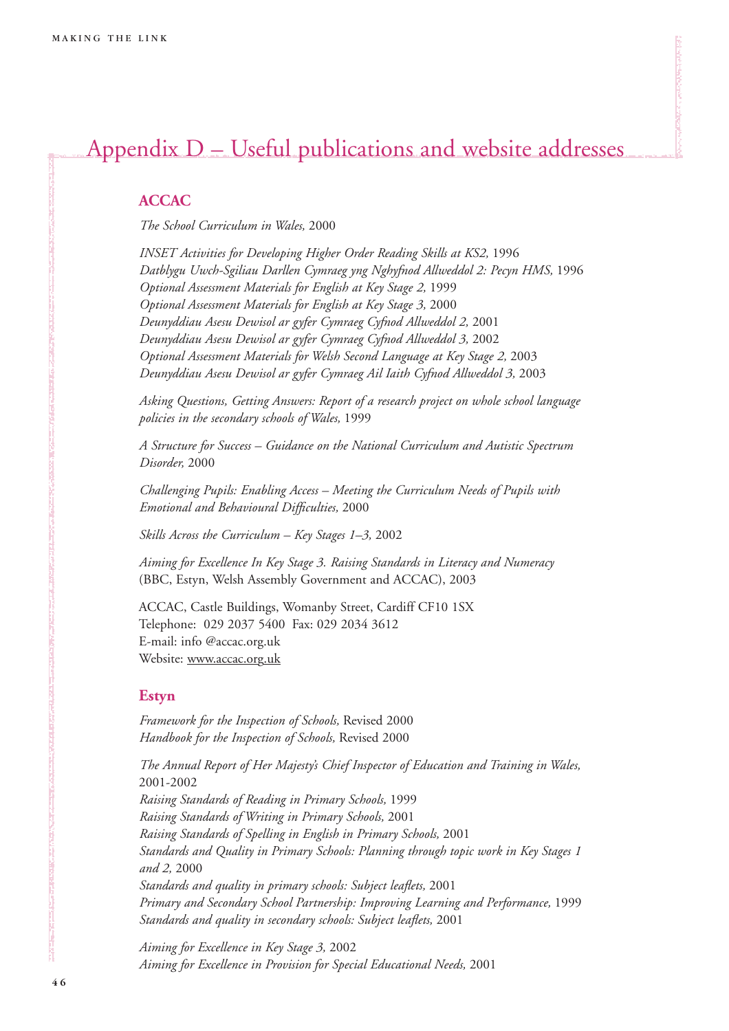# Appendix D – Useful publications and website addresses

### **ACCAC**

*The School Curriculum in Wales,* 2000

*INSET Activities for Developing Higher Order Reading Skills at KS2,* 1996 *Datblygu Uwch-Sgiliau Darllen Cymraeg yng Nghyfnod Allweddol 2: Pecyn HMS,* 1996 *Optional Assessment Materials for English at Key Stage 2,* 1999 *Optional Assessment Materials for English at Key Stage 3,* 2000 *Deunyddiau Asesu Dewisol ar gyfer Cymraeg Cyfnod Allweddol 2,* 2001 *Deunyddiau Asesu Dewisol ar gyfer Cymraeg Cyfnod Allweddol 3,* 2002 *Optional Assessment Materials for Welsh Second Language at Key Stage 2,* 2003 *Deunyddiau Asesu Dewisol ar gyfer Cymraeg Ail Iaith Cyfnod Allweddol 3,* 2003

*Asking Questions, Getting Answers: Report of a research project on whole school language policies in the secondary schools of Wales,* 1999

*A Structure for Success – Guidance on the National Curriculum and Autistic Spectrum Disorder,* 2000

*Challenging Pupils: Enabling Access – Meeting the Curriculum Needs of Pupils with Emotional and Behavioural Difficulties,* 2000

*Skills Across the Curriculum – Key Stages 1–3,* 2002

*Aiming for Excellence In Key Stage 3. Raising Standards in Literacy and Numeracy* (BBC, Estyn, Welsh Assembly Government and ACCAC), 2003

ACCAC, Castle Buildings, Womanby Street, Cardiff CF10 1SX Telephone: 029 2037 5400 Fax: 029 2034 3612 E-mail: info @accac.org.uk Website: www.accac.org.uk

### **Estyn**

*Framework for the Inspection of Schools,* Revised 2000 *Handbook for the Inspection of Schools,* Revised 2000

*The Annual Report of Her Majesty's Chief Inspector of Education and Training in Wales,* 2001-2002 *Raising Standards of Reading in Primary Schools,* 1999 *Raising Standards of Writing in Primary Schools,* 2001 *Raising Standards of Spelling in English in Primary Schools,* 2001 *Standards and Quality in Primary Schools: Planning through topic work in Key Stages 1 and 2,* 2000 *Standards and quality in primary schools: Subject leaflets,* 2001 *Primary and Secondary School Partnership: Improving Learning and Performance,* 1999 *Standards and quality in secondary schools: Subject leaflets,* 2001

*Aiming for Excellence in Key Stage 3,* 2002 *Aiming for Excellence in Provision for Special Educational Needs,* 2001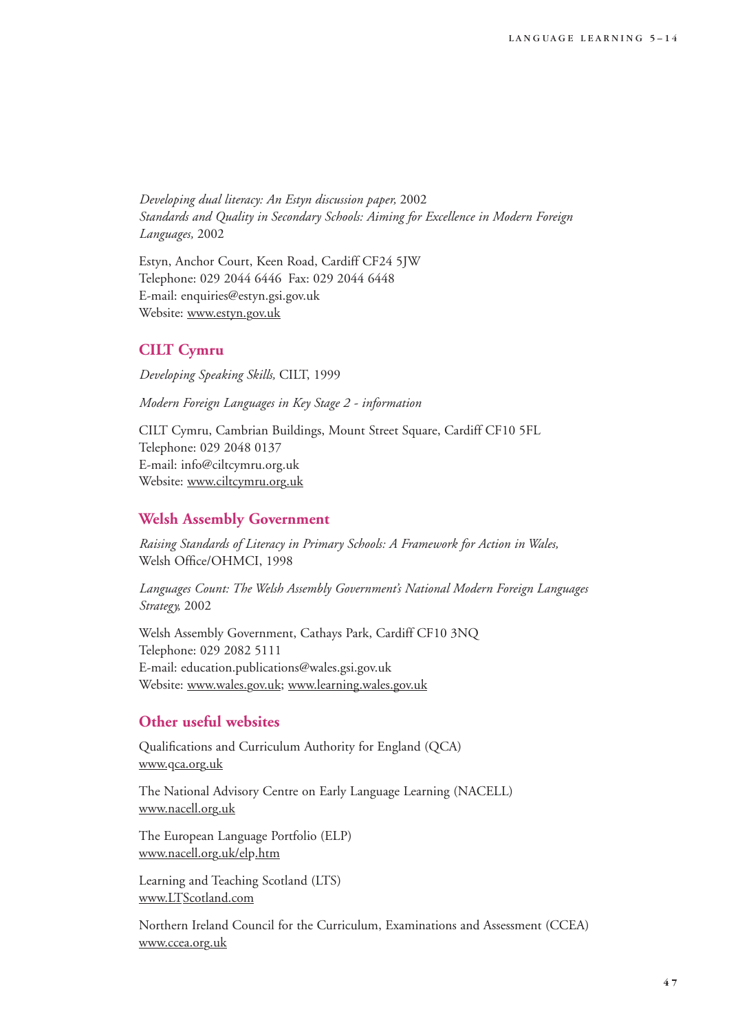*Developing dual literacy: An Estyn discussion paper,* 2002 *Standards and Quality in Secondary Schools: Aiming for Excellence in Modern Foreign Languages,* 2002

Estyn, Anchor Court, Keen Road, Cardiff CF24 5JW Telephone: 029 2044 6446 Fax: 029 2044 6448 E-mail: enquiries@estyn.gsi.gov.uk Website: www.estyn.gov.uk

### **CILT Cymru**

*Developing Speaking Skills,* CILT, 1999

*Modern Foreign Languages in Key Stage 2 - information*

CILT Cymru, Cambrian Buildings, Mount Street Square, Cardiff CF10 5FL Telephone: 029 2048 0137 E-mail: info@ciltcymru.org.uk Website: www.ciltcymru.org.uk

### **Welsh Assembly Government**

*Raising Standards of Literacy in Primary Schools: A Framework for Action in Wales,* Welsh Office/OHMCI, 1998

*Languages Count: The Welsh Assembly Government's National Modern Foreign Languages Strategy,* 2002

Welsh Assembly Government, Cathays Park, Cardiff CF10 3NQ Telephone: 029 2082 5111 E-mail: education.publications@wales.gsi.gov.uk Website: www.wales.gov.uk; www.learning.wales.gov.uk

### **Other useful websites**

Qualifications and Curriculum Authority for England (QCA) www.qca.org.uk

The National Advisory Centre on Early Language Learning (NACELL) www.nacell.org.uk

The European Language Portfolio (ELP) www.nacell.org.uk/elp.htm

Learning and Teaching Scotland (LTS) www.LTScotland.com

Northern Ireland Council for the Curriculum, Examinations and Assessment (CCEA) www.ccea.org.uk